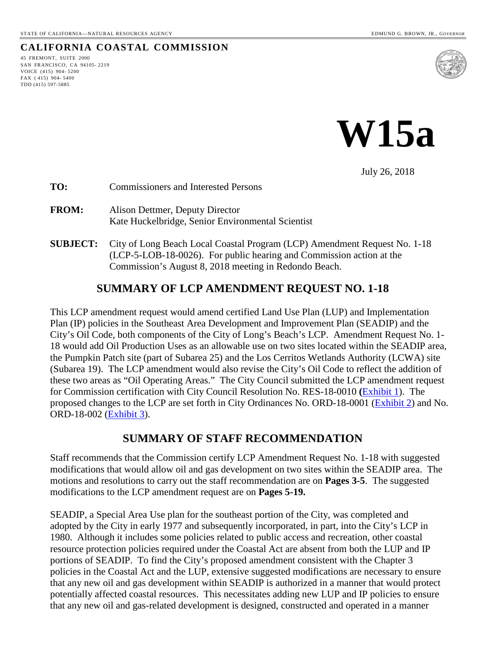#### **CALIFORNIA COASTAL COMMISSION**

45 FREMONT, SUITE 2000 SAN FRANCISCO, CA 94105- 2219 VOICE (415) 904- 5200 FAX ( 415) 904- 5400 TDD (415) 597-5885





July 26, 2018

- **TO:** Commissioners and Interested Persons
- **FROM:** Alison Dettmer, Deputy Director Kate Huckelbridge, Senior Environmental Scientist
- **SUBJECT:** City of Long Beach Local Coastal Program (LCP) Amendment Request No. 1-18 (LCP-5-LOB-18-0026). For public hearing and Commission action at the Commission's August 8, 2018 meeting in Redondo Beach.

# **SUMMARY OF LCP AMENDMENT REQUEST NO. 1-18**

This LCP amendment request would amend certified Land Use Plan (LUP) and Implementation Plan (IP) policies in the Southeast Area Development and Improvement Plan (SEADIP) and the City's Oil Code, both components of the City of Long's Beach's LCP. Amendment Request No. 1- 18 would add Oil Production Uses as an allowable use on two sites located within the SEADIP area, the Pumpkin Patch site (part of Subarea 25) and the Los Cerritos Wetlands Authority (LCWA) site (Subarea 19). The LCP amendment would also revise the City's Oil Code to reflect the addition of these two areas as "Oil Operating Areas." The City Council submitted the LCP amendment request for Commission certification with City Council Resolution No. RES-18-0010 **(**[Exhibit 1\)](https://documents.coastal.ca.gov/reports/2018/8/w15a/w15a-8-2018-exhibits.pdf). The proposed changes to the LCP are set forth in City Ordinances No. ORD-18-0001 [\(Exhibit 2\)](https://documents.coastal.ca.gov/reports/2018/8/w15a/w15a-8-2018-exhibits.pdf) and No. ORD-18-002 [\(Exhibit 3\)](https://documents.coastal.ca.gov/reports/2018/8/w15a/w15a-8-2018-exhibits.pdf).

# **SUMMARY OF STAFF RECOMMENDATION**

Staff recommends that the Commission certify LCP Amendment Request No. 1-18 with suggested modifications that would allow oil and gas development on two sites within the SEADIP area. The motions and resolutions to carry out the staff recommendation are on **Pages 3-5**. The suggested modifications to the LCP amendment request are on **Pages 5-19.** 

SEADIP, a Special Area Use plan for the southeast portion of the City, was completed and adopted by the City in early 1977 and subsequently incorporated, in part, into the City's LCP in 1980. Although it includes some policies related to public access and recreation, other coastal resource protection policies required under the Coastal Act are absent from both the LUP and IP portions of SEADIP. To find the City's proposed amendment consistent with the Chapter 3 policies in the Coastal Act and the LUP, extensive suggested modifications are necessary to ensure that any new oil and gas development within SEADIP is authorized in a manner that would protect potentially affected coastal resources. This necessitates adding new LUP and IP policies to ensure that any new oil and gas-related development is designed, constructed and operated in a manner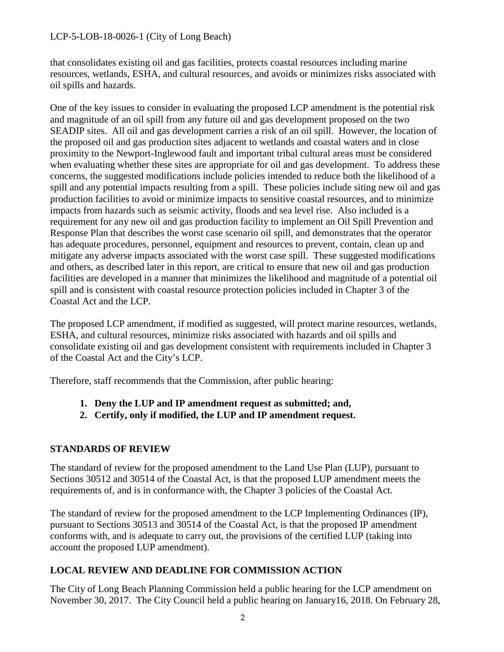that consolidates existing oil and gas facilities, protects coastal resources including marine resources, wetlands, ESHA, and cultural resources, and avoids or minimizes risks associated with oil spills and hazards.

One of the key issues to consider in evaluating the proposed LCP amendment is the potential risk and magnitude of an oil spill from any future oil and gas development proposed on the two SEADIP sites. All oil and gas development carries a risk of an oil spill. However, the location of the proposed oil and gas production sites adjacent to wetlands and coastal waters and in close proximity to the Newport-Inglewood fault and important tribal cultural areas must be considered when evaluating whether these sites are appropriate for oil and gas development. To address these concerns, the suggested modifications include policies intended to reduce both the likelihood of a spill and any potential impacts resulting from a spill. These policies include siting new oil and gas production facilities to avoid or minimize impacts to sensitive coastal resources, and to minimize impacts from hazards such as seismic activity, floods and sea level rise. Also included is a requirement for any new oil and gas production facility to implement an Oil Spill Prevention and Response Plan that describes the worst case scenario oil spill, and demonstrates that the operator has adequate procedures, personnel, equipment and resources to prevent, contain, clean up and mitigate any adverse impacts associated with the worst case spill. These suggested modifications and others, as described later in this report, are critical to ensure that new oil and gas production facilities are developed in a manner that minimizes the likelihood and magnitude of a potential oil spill and is consistent with coastal resource protection policies included in Chapter 3 of the Coastal Act and the LCP.

The proposed LCP amendment, if modified as suggested, will protect marine resources, wetlands, ESHA, and cultural resources, minimize risks associated with hazards and oil spills and consolidate existing oil and gas development consistent with requirements included in Chapter 3 of the Coastal Act and the City's LCP.

Therefore, staff recommends that the Commission, after public hearing:

- **1. Deny the LUP and IP amendment request as submitted; and,**
- **2. Certify, only if modified, the LUP and IP amendment request.**

#### **STANDARDS OF REVIEW**

The standard of review for the proposed amendment to the Land Use Plan (LUP), pursuant to Sections 30512 and 30514 of the Coastal Act, is that the proposed LUP amendment meets the requirements of, and is in conformance with, the Chapter 3 policies of the Coastal Act.

The standard of review for the proposed amendment to the LCP Implementing Ordinances (IP), pursuant to Sections 30513 and 30514 of the Coastal Act, is that the proposed IP amendment conforms with, and is adequate to carry out, the provisions of the certified LUP (taking into account the proposed LUP amendment).

#### **LOCAL REVIEW AND DEADLINE FOR COMMISSION ACTION**

The City of Long Beach Planning Commission held a public hearing for the LCP amendment on November 30, 2017. The City Council held a public hearing on January16, 2018. On February 28,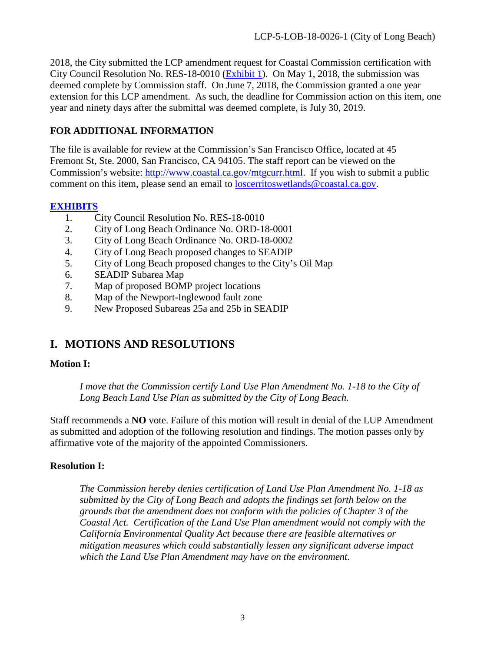2018, the City submitted the LCP amendment request for Coastal Commission certification with City Council Resolution No. RES-18-0010 [\(Exhibit 1\)](https://documents.coastal.ca.gov/reports/2018/8/w15a/w15a-8-2018-exhibits.pdf). On May 1, 2018, the submission was deemed complete by Commission staff. On June 7, 2018, the Commission granted a one year extension for this LCP amendment. As such, the deadline for Commission action on this item, one year and ninety days after the submittal was deemed complete, is July 30, 2019.

### **FOR ADDITIONAL INFORMATION**

The file is available for review at the Commission's San Francisco Office, located at 45 Fremont St, Ste. 2000, San Francisco, CA 94105. The staff report can be viewed on the Commission's website: [http://www.coastal.ca.gov/mtgcurr.html.](http://www.coastal.ca.gov/mtgcurr.html) If you wish to submit a public comment on this item, please send an email to [loscerritoswetlands@coastal.ca.gov.](mailto:loscerritoswetlands@coastal.ca.gov)

#### **[EXHIBITS](https://documents.coastal.ca.gov/reports/2018/8/w15a/w15a-8-2018-exhibits.pdf)**

- 1. City Council Resolution No. RES-18-0010
- 2. City of Long Beach Ordinance No. ORD-18-0001
- 3. City of Long Beach Ordinance No. ORD-18-0002
- 4. City of Long Beach proposed changes to SEADIP
- 5. City of Long Beach proposed changes to the City's Oil Map
- 6. SEADIP Subarea Map
- 7. Map of proposed BOMP project locations
- 8. Map of the Newport-Inglewood fault zone
- 9. New Proposed Subareas 25a and 25b in SEADIP

# **I. MOTIONS AND RESOLUTIONS**

#### **Motion I:**

*I move that the Commission certify Land Use Plan Amendment No. 1-18 to the City of Long Beach Land Use Plan as submitted by the City of Long Beach.* 

Staff recommends a **NO** vote. Failure of this motion will result in denial of the LUP Amendment as submitted and adoption of the following resolution and findings. The motion passes only by affirmative vote of the majority of the appointed Commissioners.

#### **Resolution I:**

*The Commission hereby denies certification of Land Use Plan Amendment No. 1-18 as submitted by the City of Long Beach and adopts the findings set forth below on the grounds that the amendment does not conform with the policies of Chapter 3 of the Coastal Act. Certification of the Land Use Plan amendment would not comply with the California Environmental Quality Act because there are feasible alternatives or mitigation measures which could substantially lessen any significant adverse impact which the Land Use Plan Amendment may have on the environment.*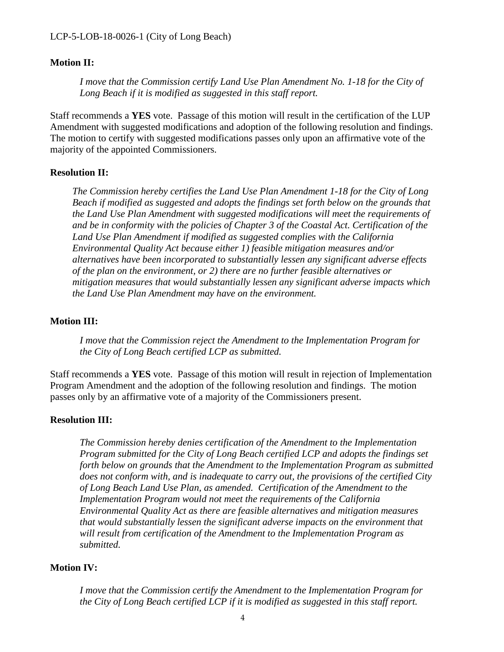#### **Motion II:**

*I move that the Commission certify Land Use Plan Amendment No. 1-18 for the City of Long Beach if it is modified as suggested in this staff report.* 

Staff recommends a **YES** vote. Passage of this motion will result in the certification of the LUP Amendment with suggested modifications and adoption of the following resolution and findings. The motion to certify with suggested modifications passes only upon an affirmative vote of the majority of the appointed Commissioners.

#### **Resolution II:**

*The Commission hereby certifies the Land Use Plan Amendment 1-18 for the City of Long Beach if modified as suggested and adopts the findings set forth below on the grounds that the Land Use Plan Amendment with suggested modifications will meet the requirements of and be in conformity with the policies of Chapter 3 of the Coastal Act. Certification of the Land Use Plan Amendment if modified as suggested complies with the California Environmental Quality Act because either 1) feasible mitigation measures and/or alternatives have been incorporated to substantially lessen any significant adverse effects of the plan on the environment, or 2) there are no further feasible alternatives or mitigation measures that would substantially lessen any significant adverse impacts which the Land Use Plan Amendment may have on the environment.* 

#### **Motion III:**

*I move that the Commission reject the Amendment to the Implementation Program for the City of Long Beach certified LCP as submitted.* 

Staff recommends a **YES** vote. Passage of this motion will result in rejection of Implementation Program Amendment and the adoption of the following resolution and findings. The motion passes only by an affirmative vote of a majority of the Commissioners present.

#### **Resolution III:**

*The Commission hereby denies certification of the Amendment to the Implementation Program submitted for the City of Long Beach certified LCP and adopts the findings set forth below on grounds that the Amendment to the Implementation Program as submitted does not conform with, and is inadequate to carry out, the provisions of the certified City of Long Beach Land Use Plan, as amended. Certification of the Amendment to the Implementation Program would not meet the requirements of the California Environmental Quality Act as there are feasible alternatives and mitigation measures that would substantially lessen the significant adverse impacts on the environment that will result from certification of the Amendment to the Implementation Program as submitted.* 

#### **Motion IV:**

*I move that the Commission certify the Amendment to the Implementation Program for the City of Long Beach certified LCP if it is modified as suggested in this staff report.*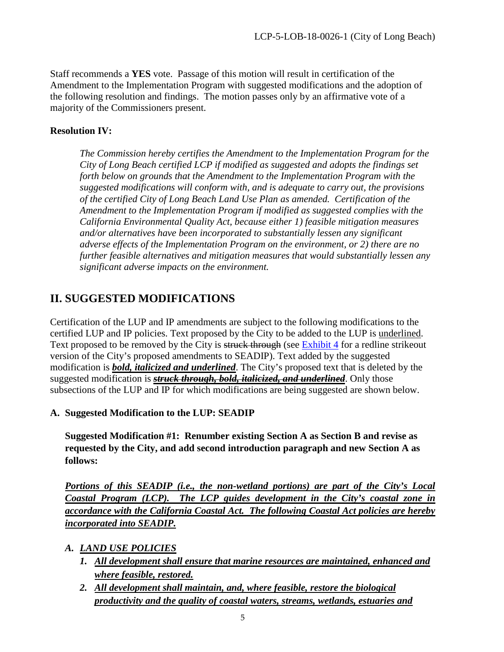Staff recommends a **YES** vote. Passage of this motion will result in certification of the Amendment to the Implementation Program with suggested modifications and the adoption of the following resolution and findings. The motion passes only by an affirmative vote of a majority of the Commissioners present.

### **Resolution IV:**

*The Commission hereby certifies the Amendment to the Implementation Program for the City of Long Beach certified LCP if modified as suggested and adopts the findings set forth below on grounds that the Amendment to the Implementation Program with the suggested modifications will conform with, and is adequate to carry out, the provisions of the certified City of Long Beach Land Use Plan as amended. Certification of the Amendment to the Implementation Program if modified as suggested complies with the California Environmental Quality Act, because either 1) feasible mitigation measures and/or alternatives have been incorporated to substantially lessen any significant adverse effects of the Implementation Program on the environment, or 2) there are no further feasible alternatives and mitigation measures that would substantially lessen any significant adverse impacts on the environment.* 

# **II. SUGGESTED MODIFICATIONS**

Certification of the LUP and IP amendments are subject to the following modifications to the certified LUP and IP policies. Text proposed by the City to be added to the LUP is underlined. Text proposed to be removed by the City is struck through (see [Exhibit 4](https://documents.coastal.ca.gov/reports/2018/8/w15a/w15a-8-2018-exhibits.pdf) for a redline strikeout version of the City's proposed amendments to SEADIP). Text added by the suggested modification is *bold, italicized and underlined*. The City's proposed text that is deleted by the suggested modification is *struck through, bold, italicized, and underlined*. Only those subsections of the LUP and IP for which modifications are being suggested are shown below.

#### **A. Suggested Modification to the LUP: SEADIP**

**Suggested Modification #1: Renumber existing Section A as Section B and revise as requested by the City, and add second introduction paragraph and new Section A as follows:** 

*Portions of this SEADIP (i.e., the non-wetland portions) are part of the City's Local Coastal Program (LCP). The LCP guides development in the City's coastal zone in accordance with the California Coastal Act. The following Coastal Act policies are hereby incorporated into SEADIP.* 

- *A. LAND USE POLICIES*
	- *1. All development shall ensure that marine resources are maintained, enhanced and where feasible, restored.*
	- *2. All development shall maintain, and, where feasible, restore the biological productivity and the quality of coastal waters, streams, wetlands, estuaries and*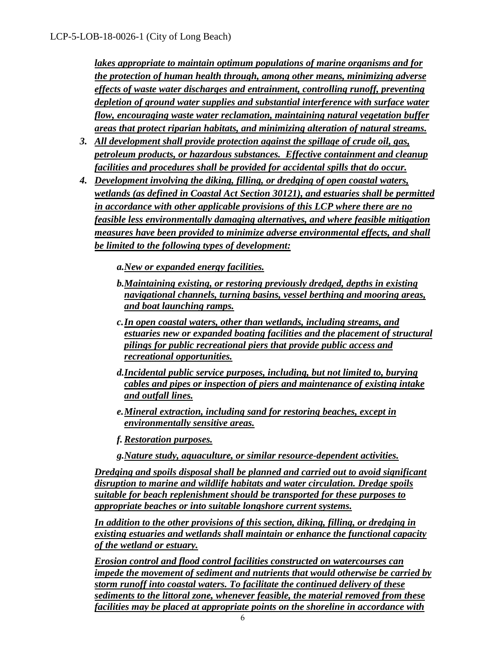*lakes appropriate to maintain optimum populations of marine organisms and for the protection of human health through, among other means, minimizing adverse effects of waste water discharges and entrainment, controlling runoff, preventing depletion of ground water supplies and substantial interference with surface water flow, encouraging waste water reclamation, maintaining natural vegetation buffer areas that protect riparian habitats, and minimizing alteration of natural streams.* 

- *3. All development shall provide protection against the spillage of crude oil, gas, petroleum products, or hazardous substances. Effective containment and cleanup facilities and procedures shall be provided for accidental spills that do occur.*
- *4. Development involving the diking, filling, or dredging of open coastal waters, wetlands (as defined in Coastal Act Section 30121), and estuaries shall be permitted in accordance with other applicable provisions of this LCP where there are no feasible less environmentally damaging alternatives, and where feasible mitigation measures have been provided to minimize adverse environmental effects, and shall be limited to the following types of development:*

*a.New or expanded energy facilities.* 

- *b.Maintaining existing, or restoring previously dredged, depths in existing navigational channels, turning basins, vessel berthing and mooring areas, and boat launching ramps.*
- *c.In open coastal waters, other than wetlands, including streams, and estuaries new or expanded boating facilities and the placement of structural pilings for public recreational piers that provide public access and recreational opportunities.*
- *d.Incidental public service purposes, including, but not limited to, burying cables and pipes or inspection of piers and maintenance of existing intake and outfall lines.*
- *e.Mineral extraction, including sand for restoring beaches, except in environmentally sensitive areas.*
- *f. Restoration purposes.*
- *g.Nature study, aquaculture, or similar resource-dependent activities.*

*Dredging and spoils disposal shall be planned and carried out to avoid significant disruption to marine and wildlife habitats and water circulation. Dredge spoils suitable for beach replenishment should be transported for these purposes to appropriate beaches or into suitable longshore current systems.* 

*In addition to the other provisions of this section, diking, filling, or dredging in existing estuaries and wetlands shall maintain or enhance the functional capacity of the wetland or estuary.* 

*Erosion control and flood control facilities constructed on watercourses can impede the movement of sediment and nutrients that would otherwise be carried by storm runoff into coastal waters. To facilitate the continued delivery of these sediments to the littoral zone, whenever feasible, the material removed from these facilities may be placed at appropriate points on the shoreline in accordance with*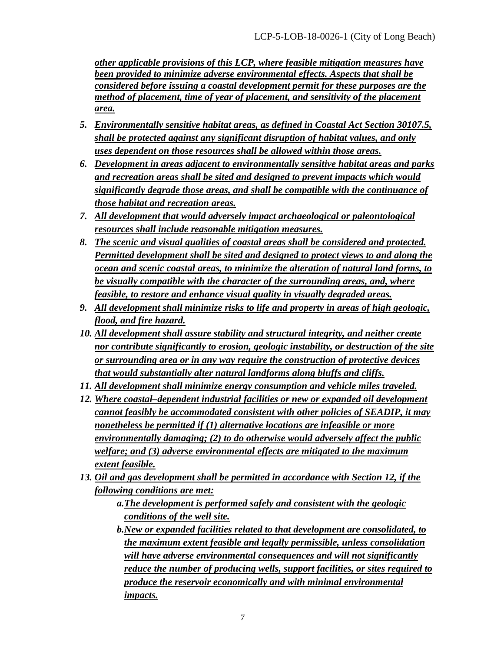*other applicable provisions of this LCP, where feasible mitigation measures have been provided to minimize adverse environmental effects. Aspects that shall be considered before issuing a coastal development permit for these purposes are the method of placement, time of year of placement, and sensitivity of the placement area.* 

- *5. Environmentally sensitive habitat areas, as defined in Coastal Act Section 30107.5, shall be protected against any significant disruption of habitat values, and only uses dependent on those resources shall be allowed within those areas.*
- *6. Development in areas adjacent to environmentally sensitive habitat areas and parks and recreation areas shall be sited and designed to prevent impacts which would significantly degrade those areas, and shall be compatible with the continuance of those habitat and recreation areas.*
- *7. All development that would adversely impact archaeological or paleontological resources shall include reasonable mitigation measures.*
- *8. The scenic and visual qualities of coastal areas shall be considered and protected. Permitted development shall be sited and designed to protect views to and along the ocean and scenic coastal areas, to minimize the alteration of natural land forms, to be visually compatible with the character of the surrounding areas, and, where feasible, to restore and enhance visual quality in visually degraded areas.*
- *9. All development shall minimize risks to life and property in areas of high geologic, flood, and fire hazard.*
- *10. All development shall assure stability and structural integrity, and neither create nor contribute significantly to erosion, geologic instability, or destruction of the site or surrounding area or in any way require the construction of protective devices that would substantially alter natural landforms along bluffs and cliffs.*
- *11. All development shall minimize energy consumption and vehicle miles traveled.*
- *12. Where coastal–dependent industrial facilities or new or expanded oil development cannot feasibly be accommodated consistent with other policies of SEADIP, it may nonetheless be permitted if (1) alternative locations are infeasible or more environmentally damaging; (2) to do otherwise would adversely affect the public welfare; and (3) adverse environmental effects are mitigated to the maximum extent feasible.*
- *13. Oil and gas development shall be permitted in accordance with Section 12, if the following conditions are met:* 
	- *a.The development is performed safely and consistent with the geologic conditions of the well site.*
	- *b.New or expanded facilities related to that development are consolidated, to the maximum extent feasible and legally permissible, unless consolidation will have adverse environmental consequences and will not significantly reduce the number of producing wells, support facilities, or sites required to produce the reservoir economically and with minimal environmental impacts.*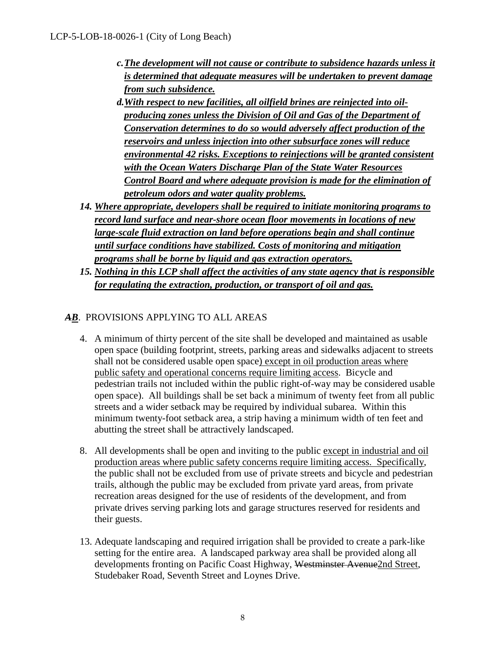- *c.The development will not cause or contribute to subsidence hazards unless it is determined that adequate measures will be undertaken to prevent damage from such subsidence.*
- *d.With respect to new facilities, all oilfield brines are reinjected into oilproducing zones unless the Division of Oil and Gas of the Department of Conservation determines to do so would adversely affect production of the reservoirs and unless injection into other subsurface zones will reduce environmental 42 risks. Exceptions to reinjections will be granted consistent with the Ocean Waters Discharge Plan of the State Water Resources Control Board and where adequate provision is made for the elimination of petroleum odors and water quality problems.*
- *14. Where appropriate, developers shall be required to initiate monitoring programs to record land surface and near-shore ocean floor movements in locations of new large-scale fluid extraction on land before operations begin and shall continue until surface conditions have stabilized. Costs of monitoring and mitigation programs shall be borne by liquid and gas extraction operators.*
- *15. Nothing in this LCP shall affect the activities of any state agency that is responsible for regulating the extraction, production, or transport of oil and gas.*

# *AB*. PROVISIONS APPLYING TO ALL AREAS

- 4. A minimum of thirty percent of the site shall be developed and maintained as usable open space (building footprint, streets, parking areas and sidewalks adjacent to streets shall not be considered usable open space) except in oil production areas where public safety and operational concerns require limiting access. Bicycle and pedestrian trails not included within the public right-of-way may be considered usable open space). All buildings shall be set back a minimum of twenty feet from all public streets and a wider setback may be required by individual subarea. Within this minimum twenty-foot setback area, a strip having a minimum width of ten feet and abutting the street shall be attractively landscaped.
- 8. All developments shall be open and inviting to the public except in industrial and oil production areas where public safety concerns require limiting access. Specifically, the public shall not be excluded from use of private streets and bicycle and pedestrian trails, although the public may be excluded from private yard areas, from private recreation areas designed for the use of residents of the development, and from private drives serving parking lots and garage structures reserved for residents and their guests.
- 13. Adequate landscaping and required irrigation shall be provided to create a park-like setting for the entire area. A landscaped parkway area shall be provided along all developments fronting on Pacific Coast Highway, Westminster Avenue2nd Street, Studebaker Road, Seventh Street and Loynes Drive.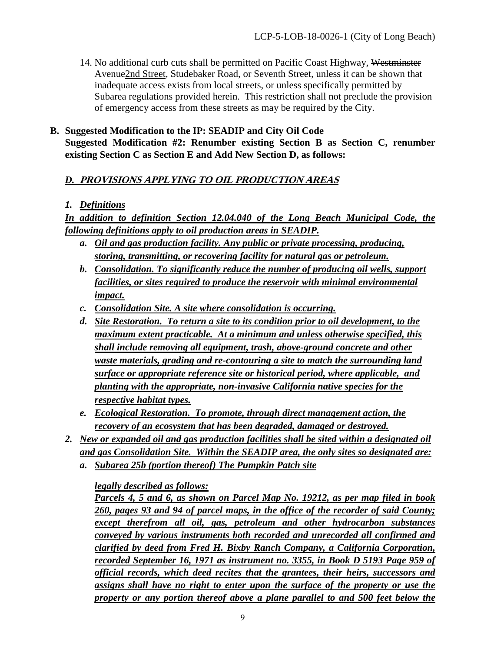14. No additional curb cuts shall be permitted on Pacific Coast Highway, Westminster Avenue2nd Street, Studebaker Road, or Seventh Street, unless it can be shown that inadequate access exists from local streets, or unless specifically permitted by Subarea regulations provided herein. This restriction shall not preclude the provision of emergency access from these streets as may be required by the City.

#### **B. Suggested Modification to the IP: SEADIP and City Oil Code Suggested Modification #2: Renumber existing Section B as Section C, renumber existing Section C as Section E and Add New Section D, as follows:**

# *D.* **PROVISIONS APPLYING TO OIL PRODUCTION AREAS**

# *1. Definitions*

*In addition to definition Section 12.04.040 of the Long Beach Municipal Code, the following definitions apply to oil production areas in SEADIP.* 

- *a. Oil and gas production facility. Any public or private processing, producing, storing, transmitting, or recovering facility for natural gas or petroleum.*
- *b. Consolidation. To significantly reduce the number of producing oil wells, support facilities, or sites required to produce the reservoir with minimal environmental impact.*
- *c. Consolidation Site. A site where consolidation is occurring.*
- *d. Site Restoration. To return a site to its condition prior to oil development, to the maximum extent practicable. At a minimum and unless otherwise specified, this shall include removing all equipment, trash, above-ground concrete and other waste materials, grading and re-contouring a site to match the surrounding land surface or appropriate reference site or historical period, where applicable, and planting with the appropriate, non-invasive California native species for the respective habitat types.*
- *e. Ecological Restoration. To promote, through direct management action, the recovery of an ecosystem that has been degraded, damaged or destroyed.*
- *2. New or expanded oil and gas production facilities shall be sited within a designated oil and gas Consolidation Site. Within the SEADIP area, the only sites so designated are:* 
	- *a. Subarea 25b (portion thereof) The Pumpkin Patch site*

*legally described as follows:* 

*Parcels 4, 5 and 6, as shown on Parcel Map No. 19212, as per map filed in book 260, pages 93 and 94 of parcel maps, in the office of the recorder of said County; except therefrom all oil, gas, petroleum and other hydrocarbon substances conveyed by various instruments both recorded and unrecorded all confirmed and clarified by deed from Fred H. Bixby Ranch Company, a California Corporation, recorded September 16, 1971 as instrument no. 3355, in Book D 5193 Page 959 of official records, which deed recites that the grantees, their heirs, successors and assigns shall have no right to enter upon the surface of the property or use the property or any portion thereof above a plane parallel to and 500 feet below the*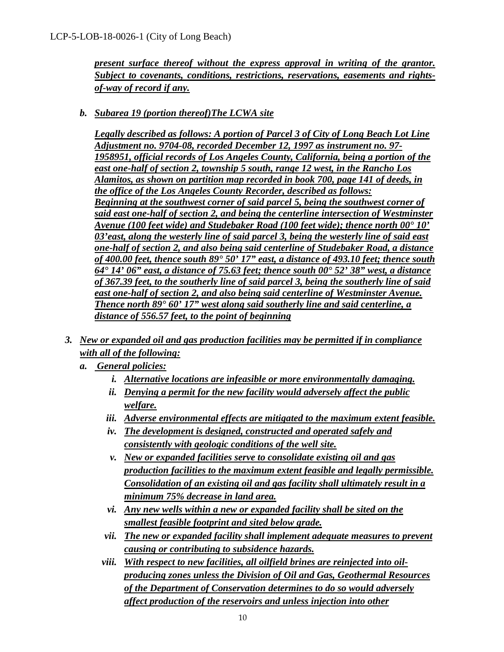*present surface thereof without the express approval in writing of the grantor. Subject to covenants, conditions, restrictions, reservations, easements and rightsof-way of record if any.* 

*b. Subarea 19 (portion thereof)The LCWA site* 

*Legally described as follows: A portion of Parcel 3 of City of Long Beach Lot Line Adjustment no. 9704-08, recorded December 12, 1997 as instrument no. 97- 1958951, official records of Los Angeles County, California, being a portion of the east one-half of section 2, township 5 south, range 12 west, in the Rancho Los Alamitos, as shown on partition map recorded in book 700, page 141 of deeds, in the office of the Los Angeles County Recorder, described as follows: Beginning at the southwest corner of said parcel 5, being the southwest corner of said east one-half of section 2, and being the centerline intersection of Westminster Avenue (100 feet wide) and Studebaker Road (100 feet wide); thence north 00° 10' 03'east, along the westerly line of said parcel 3, being the westerly line of said east one-half of section 2, and also being said centerline of Studebaker Road, a distance of 400.00 feet, thence south 89° 50' 17" east, a distance of 493.10 feet; thence south 64° 14' 06" east, a distance of 75.63 feet; thence south 00° 52' 38" west, a distance of 367.39 feet, to the southerly line of said parcel 3, being the southerly line of said east one-half of section 2, and also being said centerline of Westminster Avenue. Thence north 89° 60' 17" west along said southerly line and said centerline, a distance of 556.57 feet, to the point of beginning* 

- *3. New or expanded oil and gas production facilities may be permitted if in compliance with all of the following:*
	- *a. General policies:*
		- *i. Alternative locations are infeasible or more environmentally damaging.*
		- *ii. Denying a permit for the new facility would adversely affect the public welfare.*
		- *iii. Adverse environmental effects are mitigated to the maximum extent feasible.*
		- *iv. The development is designed, constructed and operated safely and consistently with geologic conditions of the well site.*
		- *v. New or expanded facilities serve to consolidate existing oil and gas production facilities to the maximum extent feasible and legally permissible. Consolidation of an existing oil and gas facility shall ultimately result in a minimum 75% decrease in land area.*
		- *vi. Any new wells within a new or expanded facility shall be sited on the smallest feasible footprint and sited below grade.*
		- *vii. The new or expanded facility shall implement adequate measures to prevent causing or contributing to subsidence hazards.*
		- *viii. With respect to new facilities, all oilfield brines are reinjected into oilproducing zones unless the Division of Oil and Gas, Geothermal Resources of the Department of Conservation determines to do so would adversely affect production of the reservoirs and unless injection into other*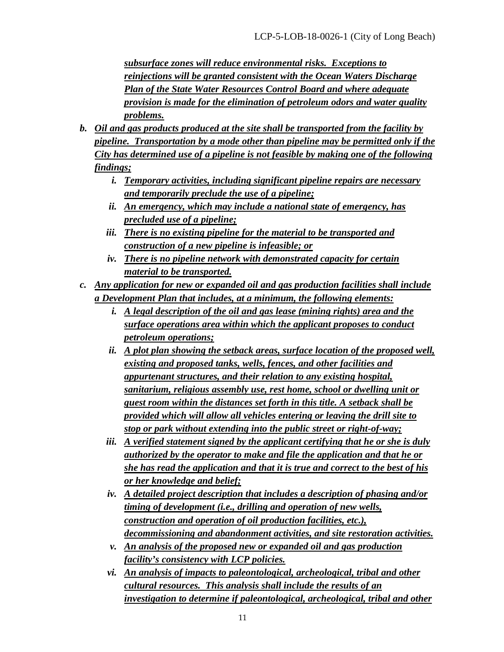*subsurface zones will reduce environmental risks. Exceptions to reinjections will be granted consistent with the Ocean Waters Discharge Plan of the State Water Resources Control Board and where adequate provision is made for the elimination of petroleum odors and water quality problems.* 

- *b. Oil and gas products produced at the site shall be transported from the facility by pipeline. Transportation by a mode other than pipeline may be permitted only if the City has determined use of a pipeline is not feasible by making one of the following findings;* 
	- *i. Temporary activities, including significant pipeline repairs are necessary and temporarily preclude the use of a pipeline;*
	- *ii. An emergency, which may include a national state of emergency, has precluded use of a pipeline;*
	- *iii. There is no existing pipeline for the material to be transported and construction of a new pipeline is infeasible; or*
	- *iv. There is no pipeline network with demonstrated capacity for certain material to be transported.*
- *c. Any application for new or expanded oil and gas production facilities shall include a Development Plan that includes, at a minimum, the following elements:* 
	- *i. A legal description of the oil and gas lease (mining rights) area and the surface operations area within which the applicant proposes to conduct petroleum operations;*
	- *ii. A plot plan showing the setback areas, surface location of the proposed well, existing and proposed tanks, wells, fences, and other facilities and appurtenant structures, and their relation to any existing hospital, sanitarium, religious assembly use, rest home, school or dwelling unit or guest room within the distances set forth in this title. A setback shall be provided which will allow all vehicles entering or leaving the drill site to stop or park without extending into the public street or right-of-way;*
	- *iii. A verified statement signed by the applicant certifying that he or she is duly authorized by the operator to make and file the application and that he or she has read the application and that it is true and correct to the best of his or her knowledge and belief;*
	- *iv. A detailed project description that includes a description of phasing and/or timing of development (i.e., drilling and operation of new wells, construction and operation of oil production facilities, etc.), decommissioning and abandonment activities, and site restoration activities.*
	- *v. An analysis of the proposed new or expanded oil and gas production facility's consistency with LCP policies.*
	- *vi. An analysis of impacts to paleontological, archeological, tribal and other cultural resources. This analysis shall include the results of an investigation to determine if paleontological, archeological, tribal and other*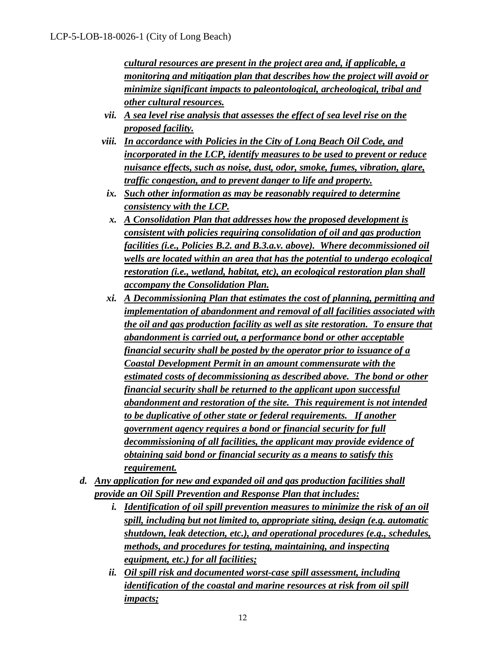*cultural resources are present in the project area and, if applicable, a monitoring and mitigation plan that describes how the project will avoid or minimize significant impacts to paleontological, archeological, tribal and other cultural resources.* 

- *vii. A sea level rise analysis that assesses the effect of sea level rise on the proposed facility.*
- *viii. In accordance with Policies in the City of Long Beach Oil Code, and incorporated in the LCP, identify measures to be used to prevent or reduce nuisance effects, such as noise, dust, odor, smoke, fumes, vibration, glare, traffic congestion, and to prevent danger to life and property.*
- *ix. Such other information as may be reasonably required to determine consistency with the LCP.*
- *x. A Consolidation Plan that addresses how the proposed development is consistent with policies requiring consolidation of oil and gas production facilities (i.e., Policies B.2. and B.3.a.v. above). Where decommissioned oil wells are located within an area that has the potential to undergo ecological restoration (i.e., wetland, habitat, etc), an ecological restoration plan shall accompany the Consolidation Plan.*
- *xi. A Decommissioning Plan that estimates the cost of planning, permitting and implementation of abandonment and removal of all facilities associated with the oil and gas production facility as well as site restoration. To ensure that abandonment is carried out, a performance bond or other acceptable financial security shall be posted by the operator prior to issuance of a Coastal Development Permit in an amount commensurate with the estimated costs of decommissioning as described above. The bond or other financial security shall be returned to the applicant upon successful abandonment and restoration of the site. This requirement is not intended to be duplicative of other state or federal requirements. If another government agency requires a bond or financial security for full decommissioning of all facilities, the applicant may provide evidence of obtaining said bond or financial security as a means to satisfy this requirement.*
- *d. Any application for new and expanded oil and gas production facilities shall provide an Oil Spill Prevention and Response Plan that includes:* 
	- *i. Identification of oil spill prevention measures to minimize the risk of an oil spill, including but not limited to, appropriate siting, design (e.g. automatic shutdown, leak detection, etc.), and operational procedures (e.g., schedules, methods, and procedures for testing, maintaining, and inspecting equipment, etc.) for all facilities;*
	- *ii. Oil spill risk and documented worst-case spill assessment, including identification of the coastal and marine resources at risk from oil spill impacts;*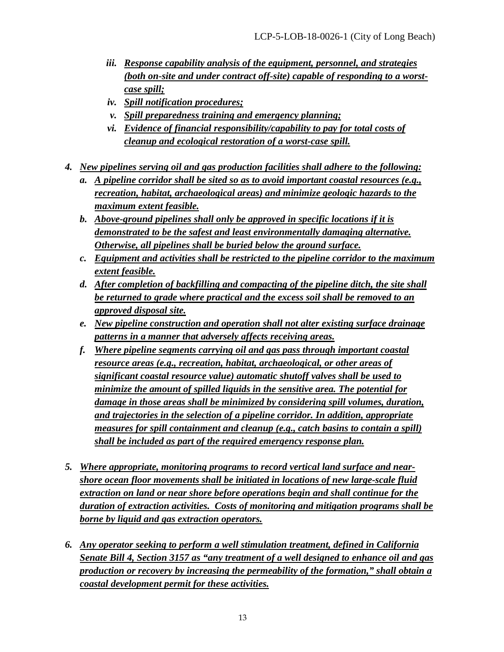- *iii. Response capability analysis of the equipment, personnel, and strategies (both on-site and under contract off-site) capable of responding to a worstcase spill;*
- *iv. Spill notification procedures;*
- *v. Spill preparedness training and emergency planning;*
- *vi. Evidence of financial responsibility/capability to pay for total costs of cleanup and ecological restoration of a worst-case spill.*
- *4. New pipelines serving oil and gas production facilities shall adhere to the following:* 
	- *a. A pipeline corridor shall be sited so as to avoid important coastal resources (e.g., recreation, habitat, archaeological areas) and minimize geologic hazards to the maximum extent feasible.*
	- *b. Above-ground pipelines shall only be approved in specific locations if it is demonstrated to be the safest and least environmentally damaging alternative. Otherwise, all pipelines shall be buried below the ground surface.*
	- *c. Equipment and activities shall be restricted to the pipeline corridor to the maximum extent feasible.*
	- *d. After completion of backfilling and compacting of the pipeline ditch, the site shall be returned to grade where practical and the excess soil shall be removed to an approved disposal site.*
	- *e. New pipeline construction and operation shall not alter existing surface drainage patterns in a manner that adversely affects receiving areas.*
	- *f. Where pipeline segments carrying oil and gas pass through important coastal resource areas (e.g., recreation, habitat, archaeological, or other areas of significant coastal resource value) automatic shutoff valves shall be used to minimize the amount of spilled liquids in the sensitive area. The potential for damage in those areas shall be minimized by considering spill volumes, duration, and trajectories in the selection of a pipeline corridor. In addition, appropriate measures for spill containment and cleanup (e.g., catch basins to contain a spill) shall be included as part of the required emergency response plan.*
- *5. Where appropriate, monitoring programs to record vertical land surface and nearshore ocean floor movements shall be initiated in locations of new large-scale fluid extraction on land or near shore before operations begin and shall continue for the duration of extraction activities. Costs of monitoring and mitigation programs shall be borne by liquid and gas extraction operators.*
- *6. Any operator seeking to perform a well stimulation treatment, defined in California Senate Bill 4, Section 3157 as "any treatment of a well designed to enhance oil and gas production or recovery by increasing the permeability of the formation," shall obtain a coastal development permit for these activities.*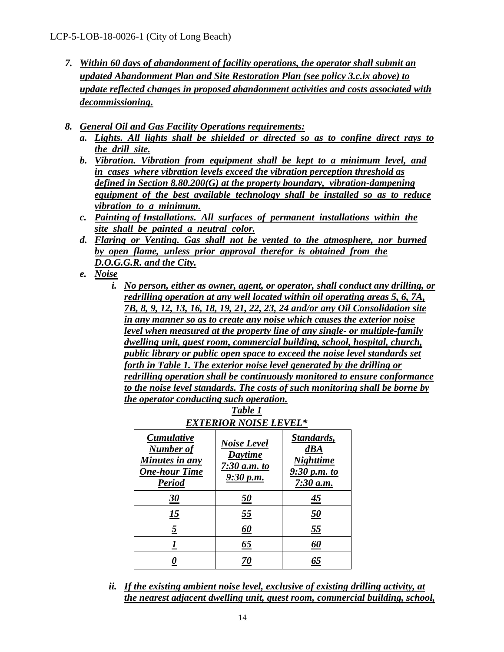- *7. Within 60 days of abandonment of facility operations, the operator shall submit an updated Abandonment Plan and Site Restoration Plan (see policy 3.c.ix above) to update reflected changes in proposed abandonment activities and costs associated with decommissioning.*
- *8. General Oil and Gas Facility Operations requirements:* 
	- *a. Lights. All lights shall be shielded or directed so as to confine direct rays to the drill site.*
	- *b. Vibration. Vibration from equipment shall be kept to a minimum level, and in cases where vibration levels exceed the vibration perception threshold as defined in Section 8.80.200(G) at the property boundary, vibration-dampening equipment of the best available technology shall be installed so as to reduce vibration to a minimum.*
	- *c. Painting of Installations. All surfaces of permanent installations within the site shall be painted a neutral color.*
	- *d. Flaring or Venting. Gas shall not be vented to the atmosphere, nor burned by open flame, unless prior approval therefor is obtained from the D.O.G.G.R. and the City.*
	- *e. Noise*
		- *i. No person, either as owner, agent, or operator, shall conduct any drilling, or redrilling operation at any well located within oil operating areas 5, 6, 7A, 7B, 8, 9, 12, 13, 16, 18, 19, 21, 22, 23, 24 and/or any Oil Consolidation site in any manner so as to create any noise which causes the exterior noise level when measured at the property line of any single- or multiple-family dwelling unit, guest room, commercial building, school, hospital, church, public library or public open space to exceed the noise level standards set forth in Table 1. The exterior noise level generated by the drilling or redrilling operation shall be continuously monitored to ensure conformance to the noise level standards. The costs of such monitoring shall be borne by the operator conducting such operation.*

| EXTERIOR NOISE LEVEL*                                                                     |                                                              |                                                                      |
|-------------------------------------------------------------------------------------------|--------------------------------------------------------------|----------------------------------------------------------------------|
| <b>Cumulative</b><br>Number of<br>Minutes in any<br><b>One-hour Time</b><br><b>Period</b> | <b>Noise Level</b><br>Daytime<br>$7:30$ a.m. to<br>9:30 p.m. | Standards,<br>dBA<br><b>Nighttime</b><br>9:30 p.m. to<br>$7:30$ a.m. |
| <u>30</u>                                                                                 | <u>50</u>                                                    | <u>45</u>                                                            |
| <u> 15</u>                                                                                | 55                                                           | <u>50</u>                                                            |
| 5                                                                                         | <u>60</u>                                                    | 55                                                                   |
|                                                                                           | 65                                                           | 60                                                                   |
|                                                                                           | 70                                                           | 65                                                                   |

*Table 1* 

*ii. If the existing ambient noise level, exclusive of existing drilling activity, at the nearest adjacent dwelling unit, guest room, commercial building, school,*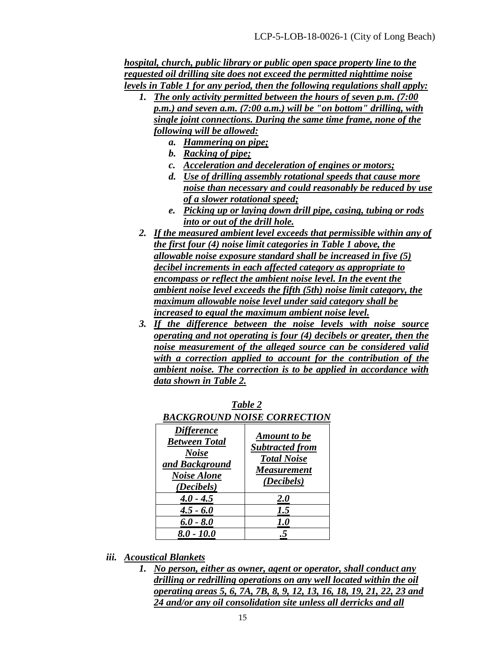*hospital, church, public library or public open space property line to the requested oil drilling site does not exceed the permitted nighttime noise levels in Table 1 for any period, then the following regulations shall apply:* 

- *1. The only activity permitted between the hours of seven p.m. (7:00 p.m.) and seven a.m. (7:00 a.m.) will be "on bottom" drilling, with single joint connections. During the same time frame, none of the following will be allowed:* 
	- *a. Hammering on pipe;*
	- *b. Racking of pipe;*
	- *c. Acceleration and deceleration of engines or motors;*
	- *d. Use of drilling assembly rotational speeds that cause more noise than necessary and could reasonably be reduced by use of a slower rotational speed;*
	- *e. Picking up or laying down drill pipe, casing, tubing or rods into or out of the drill hole.*
- *2. If the measured ambient level exceeds that permissible within any of the first four (4) noise limit categories in Table 1 above, the allowable noise exposure standard shall be increased in five (5) decibel increments in each affected category as appropriate to encompass or reflect the ambient noise level. In the event the ambient noise level exceeds the fifth (5th) noise limit category, the maximum allowable noise level under said category shall be increased to equal the maximum ambient noise level.*
- *3. If the difference between the noise levels with noise source operating and not operating is four (4) decibels or greater, then the noise measurement of the alleged source can be considered valid with a correction applied to account for the contribution of the ambient noise. The correction is to be applied in accordance with data shown in Table 2.*

| BACKGROUND NOISE CORRECTION                                                                                     |                                                                                                         |  |
|-----------------------------------------------------------------------------------------------------------------|---------------------------------------------------------------------------------------------------------|--|
| <i>Difference</i><br><b>Between Total</b><br><b>Noise</b><br>and Background<br><b>Noise Alone</b><br>(Decibels) | <b>Amount to be</b><br><b>Subtracted from</b><br><b>Total Noise</b><br><b>Measurement</b><br>(Decibels) |  |
| $4.0 - 4.5$                                                                                                     | <b>2.0</b>                                                                                              |  |
| $4.5 - 6.0$                                                                                                     | 1.5                                                                                                     |  |
| $6.0 - 8.0$                                                                                                     | <i>1.0</i>                                                                                              |  |
| $8.0 - 10.0$                                                                                                    |                                                                                                         |  |

*Table 2 BACKGROUND NOISE CORRECTION*

- *iii. Acoustical Blankets*
	- *1. No person, either as owner, agent or operator, shall conduct any drilling or redrilling operations on any well located within the oil operating areas 5, 6, 7A, 7B, 8, 9, 12, 13, 16, 18, 19, 21, 22, 23 and 24 and/or any oil consolidation site unless all derricks and all*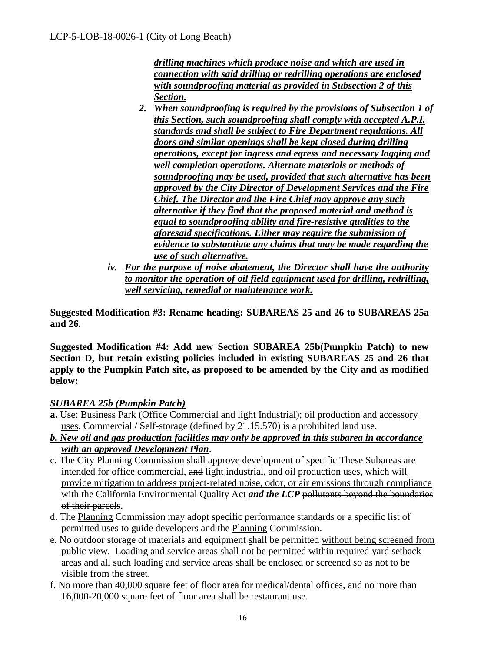*drilling machines which produce noise and which are used in connection with said drilling or redrilling operations are enclosed with soundproofing material as provided in Subsection 2 of this Section.*

- *2. When soundproofing is required by the provisions of Subsection 1 of this Section, such soundproofing shall comply with accepted A.P.I. standards and shall be subject to Fire Department regulations. All doors and similar openings shall be kept closed during drilling operations, except for ingress and egress and necessary logging and well completion operations. Alternate materials or methods of soundproofing may be used, provided that such alternative has been approved by the City Director of Development Services and the Fire Chief. The Director and the Fire Chief may approve any such alternative if they find that the proposed material and method is equal to soundproofing ability and fire-resistive qualities to the aforesaid specifications. Either may require the submission of evidence to substantiate any claims that may be made regarding the use of such alternative.*
- *iv. For the purpose of noise abatement, the Director shall have the authority to monitor the operation of oil field equipment used for drilling, redrilling, well servicing, remedial or maintenance work.*

**Suggested Modification #3: Rename heading: SUBAREAS 25 and 26 to SUBAREAS 25a and 26.** 

**Suggested Modification #4: Add new Section SUBAREA 25b(Pumpkin Patch) to new Section D, but retain existing policies included in existing SUBAREAS 25 and 26 that apply to the Pumpkin Patch site, as proposed to be amended by the City and as modified below:**

# *SUBAREA 25b (Pumpkin Patch)*

- **a.** Use: Business Park (Office Commercial and light Industrial); oil production and accessory uses. Commercial / Self-storage (defined by 21.15.570) is a prohibited land use.
- *b. New oil and gas production facilities may only be approved in this subarea in accordance with an approved Development Plan*.
- c. The City Planning Commission shall approve development of specific These Subareas are intended for office commercial, and light industrial, and oil production uses, which will provide mitigation to address project-related noise, odor, or air emissions through compliance with the California Environmental Quality Act *and the LCP* pollutants beyond the boundaries of their parcels.
- d. The Planning Commission may adopt specific performance standards or a specific list of permitted uses to guide developers and the Planning Commission.
- e. No outdoor storage of materials and equipment shall be permitted without being screened from public view. Loading and service areas shall not be permitted within required yard setback areas and all such loading and service areas shall be enclosed or screened so as not to be visible from the street.
- f. No more than 40,000 square feet of floor area for medical/dental offices, and no more than 16,000-20,000 square feet of floor area shall be restaurant use.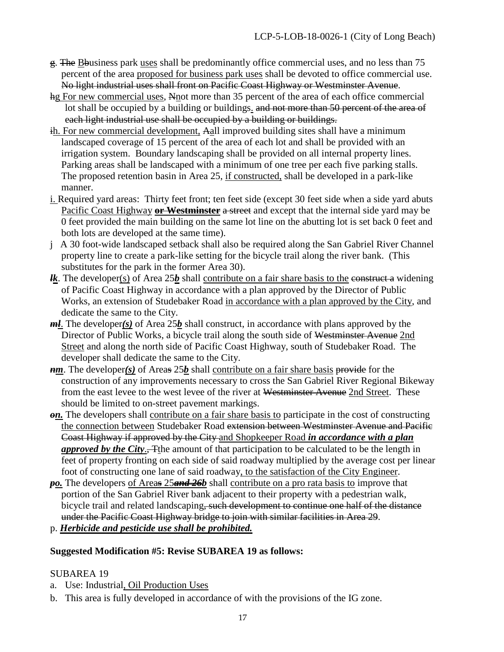- g. The Bbusiness park uses shall be predominantly office commercial uses, and no less than 75 percent of the area proposed for business park uses shall be devoted to office commercial use. No light industrial uses shall front on Pacific Coast Highway or Westminster Avenue.
- hg For new commercial uses, Nnot more than 35 percent of the area of each office commercial lot shall be occupied by a building or buildings. and not more than 50 percent of the area of each light industrial use shall be occupied by a building or buildings.
- ih. For new commercial development, Aall improved building sites shall have a minimum landscaped coverage of 15 percent of the area of each lot and shall be provided with an irrigation system. Boundary landscaping shall be provided on all internal property lines. Parking areas shall be landscaped with a minimum of one tree per each five parking stalls. The proposed retention basin in Area 25, if constructed, shall be developed in a park-like manner.
- i. Required yard areas: Thirty feet front; ten feet side (except 30 feet side when a side yard abuts Pacific Coast Highway **or Westminster** a street and except that the internal side yard may be 0 feet provided the main building on the same lot line on the abutting lot is set back 0 feet and both lots are developed at the same time).
- j A 30 foot-wide landscaped setback shall also be required along the San Gabriel River Channel property line to create a park-like setting for the bicycle trail along the river bank. (This substitutes for the park in the former Area 30).
- *lk*. The developer(s) of Area 25*b* shall contribute on a fair share basis to the construct a widening of Pacific Coast Highway in accordance with a plan approved by the Director of Public Works, an extension of Studebaker Road in accordance with a plan approved by the City, and dedicate the same to the City.
- *ml*. The developer*(s)* of Area 25*b* shall construct, in accordance with plans approved by the Director of Public Works, a bicycle trail along the south side of Westminster Avenue 2nd Street and along the north side of Pacific Coast Highway, south of Studebaker Road. The developer shall dedicate the same to the City.
- *nm*. The developer(s) of Areas 25*b* shall contribute on a fair share basis provide for the construction of any improvements necessary to cross the San Gabriel River Regional Bikeway from the east levee to the west levee of the river at Westminster Avenue 2nd Street. These should be limited to on-street pavement markings.
- *on*. The developers shall contribute on a fair share basis to participate in the cost of constructing the connection between Studebaker Road extension between Westminster Avenue and Pacific Coast Highway if approved by the City and Shopkeeper Road *in accordance with a plan approved by the City*., The amount of that participation to be calculated to be the length in feet of property fronting on each side of said roadway multiplied by the average cost per linear foot of constructing one lane of said roadway, to the satisfaction of the City Engineer.
- *po*. The developers of Areas 25 and 26*b* shall contribute on a pro rata basis to improve that portion of the San Gabriel River bank adjacent to their property with a pedestrian walk, bicycle trail and related landscaping, such development to continue one half of the distance under the Pacific Coast Highway bridge to join with similar facilities in Area 29. p. *Herbicide and pesticide use shall be prohibited.*

#### **Suggested Modification #5: Revise SUBAREA 19 as follows:**

#### SUBAREA 19

- a. Use: Industrial, Oil Production Uses
- b. This area is fully developed in accordance of with the provisions of the IG zone.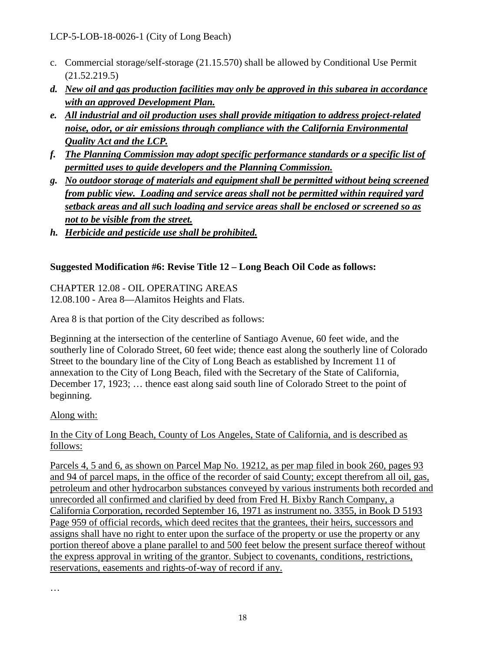- c. Commercial storage/self-storage (21.15.570) shall be allowed by Conditional Use Permit (21.52.219.5)
- *d. New oil and gas production facilities may only be approved in this subarea in accordance with an approved Development Plan.*
- *e. All industrial and oil production uses shall provide mitigation to address project-related noise, odor, or air emissions through compliance with the California Environmental Quality Act and the LCP.*
- *f. The Planning Commission may adopt specific performance standards or a specific list of permitted uses to guide developers and the Planning Commission.*
- *g. No outdoor storage of materials and equipment shall be permitted without being screened from public view. Loading and service areas shall not be permitted within required yard setback areas and all such loading and service areas shall be enclosed or screened so as not to be visible from the street.*
- *h. Herbicide and pesticide use shall be prohibited.*

# **Suggested Modification #6: Revise Title 12 – Long Beach Oil Code as follows:**

CHAPTER 12.08 - OIL OPERATING AREAS 12.08.100 - Area 8—Alamitos Heights and Flats.

Area 8 is that portion of the City described as follows:

Beginning at the intersection of the centerline of Santiago Avenue, 60 feet wide, and the southerly line of Colorado Street, 60 feet wide; thence east along the southerly line of Colorado Street to the boundary line of the City of Long Beach as established by Increment 11 of annexation to the City of Long Beach, filed with the Secretary of the State of California, December 17, 1923; … thence east along said south line of Colorado Street to the point of beginning.

#### Along with:

In the City of Long Beach, County of Los Angeles, State of California, and is described as follows:

Parcels 4, 5 and 6, as shown on Parcel Map No. 19212, as per map filed in book 260, pages 93 and 94 of parcel maps, in the office of the recorder of said County; except therefrom all oil, gas, petroleum and other hydrocarbon substances conveyed by various instruments both recorded and unrecorded all confirmed and clarified by deed from Fred H. Bixby Ranch Company, a California Corporation, recorded September 16, 1971 as instrument no. 3355, in Book D 5193 Page 959 of official records, which deed recites that the grantees, their heirs, successors and assigns shall have no right to enter upon the surface of the property or use the property or any portion thereof above a plane parallel to and 500 feet below the present surface thereof without the express approval in writing of the grantor. Subject to covenants, conditions, restrictions, reservations, easements and rights-of-way of record if any.

…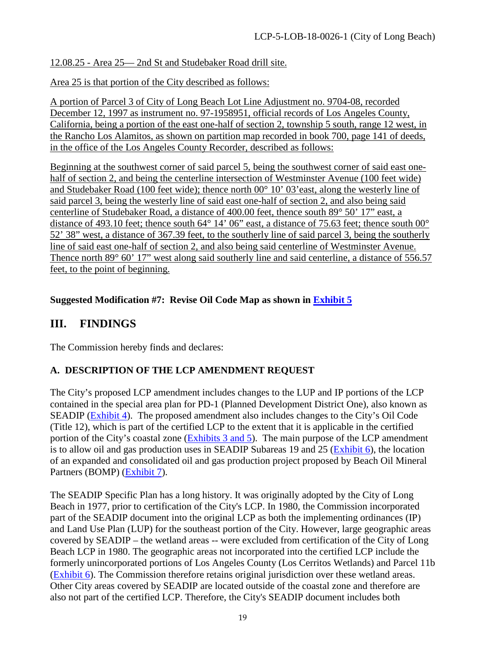# 12.08.25 - Area 25— 2nd St and Studebaker Road drill site.

Area 25 is that portion of the City described as follows:

A portion of Parcel 3 of City of Long Beach Lot Line Adjustment no. 9704-08, recorded December 12, 1997 as instrument no. 97-1958951, official records of Los Angeles County, California, being a portion of the east one-half of section 2, township 5 south, range 12 west, in the Rancho Los Alamitos, as shown on partition map recorded in book 700, page 141 of deeds, in the office of the Los Angeles County Recorder, described as follows:

Beginning at the southwest corner of said parcel 5, being the southwest corner of said east onehalf of section 2, and being the centerline intersection of Westminster Avenue (100 feet wide) and Studebaker Road (100 feet wide); thence north 00° 10' 03'east, along the westerly line of said parcel 3, being the westerly line of said east one-half of section 2, and also being said centerline of Studebaker Road, a distance of 400.00 feet, thence south 89° 50' 17" east, a distance of 493.10 feet; thence south 64° 14' 06" east, a distance of 75.63 feet; thence south 00° 52' 38" west, a distance of 367.39 feet, to the southerly line of said parcel 3, being the southerly line of said east one-half of section 2, and also being said centerline of Westminster Avenue. Thence north 89° 60' 17" west along said southerly line and said centerline, a distance of 556.57 feet, to the point of beginning.

# **Suggested Modification #7: Revise Oil Code Map as shown in [Exhibit 5](https://documents.coastal.ca.gov/reports/2018/8/w15a/w15a-8-2018-exhibits.pdf)**

# **III. FINDINGS**

The Commission hereby finds and declares:

# **A. DESCRIPTION OF THE LCP AMENDMENT REQUEST**

The City's proposed LCP amendment includes changes to the LUP and IP portions of the LCP contained in the special area plan for PD-1 (Planned Development District One), also known as SEADIP [\(Exhibit 4\)](https://documents.coastal.ca.gov/reports/2018/8/w15a/w15a-8-2018-exhibits.pdf). The proposed amendment also includes changes to the City's Oil Code (Title 12), which is part of the certified LCP to the extent that it is applicable in the certified portion of the City's coastal zone [\(Exhibits 3 and 5\)](https://documents.coastal.ca.gov/reports/2018/8/w15a/w15a-8-2018-exhibits.pdf). The main purpose of the LCP amendment is to allow oil and gas production uses in SEADIP Subareas 19 and 25 [\(Exhibit 6\)](https://documents.coastal.ca.gov/reports/2018/8/w15a/w15a-8-2018-exhibits.pdf), the location of an expanded and consolidated oil and gas production project proposed by Beach Oil Mineral Partners (BOMP) [\(Exhibit 7\)](https://documents.coastal.ca.gov/reports/2018/8/w15a/w15a-8-2018-exhibits.pdf).

The SEADIP Specific Plan has a long history. It was originally adopted by the City of Long Beach in 1977, prior to certification of the City's LCP. In 1980, the Commission incorporated part of the SEADIP document into the original LCP as both the implementing ordinances (IP) and Land Use Plan (LUP) for the southeast portion of the City. However, large geographic areas covered by SEADIP – the wetland areas -- were excluded from certification of the City of Long Beach LCP in 1980. The geographic areas not incorporated into the certified LCP include the formerly unincorporated portions of Los Angeles County (Los Cerritos Wetlands) and Parcel 11b [\(Exhibit 6\)](https://documents.coastal.ca.gov/reports/2018/8/w15a/w15a-8-2018-exhibits.pdf). The Commission therefore retains original jurisdiction over these wetland areas. Other City areas covered by SEADIP are located outside of the coastal zone and therefore are also not part of the certified LCP. Therefore, the City's SEADIP document includes both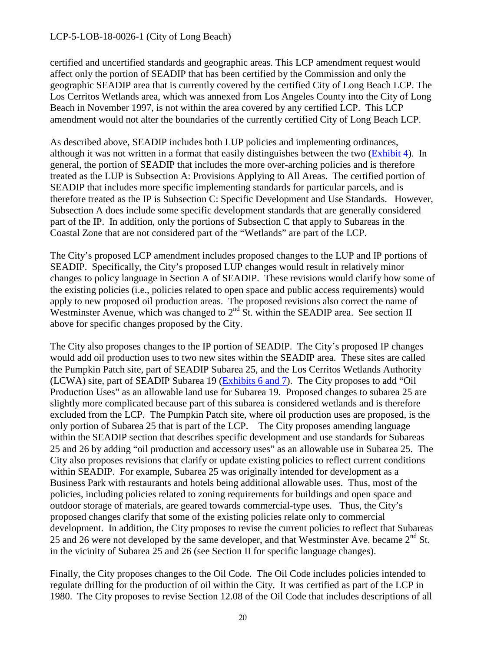certified and uncertified standards and geographic areas. This LCP amendment request would affect only the portion of SEADIP that has been certified by the Commission and only the geographic SEADIP area that is currently covered by the certified City of Long Beach LCP. The Los Cerritos Wetlands area, which was annexed from Los Angeles County into the City of Long Beach in November 1997, is not within the area covered by any certified LCP. This LCP amendment would not alter the boundaries of the currently certified City of Long Beach LCP.

As described above, SEADIP includes both LUP policies and implementing ordinances, although it was not written in a format that easily distinguishes between the two [\(Exhibit 4\)](https://documents.coastal.ca.gov/reports/2018/8/w15a/w15a-8-2018-exhibits.pdf). In general, the portion of SEADIP that includes the more over-arching policies and is therefore treated as the LUP is Subsection A: Provisions Applying to All Areas. The certified portion of SEADIP that includes more specific implementing standards for particular parcels, and is therefore treated as the IP is Subsection C: Specific Development and Use Standards. However, Subsection A does include some specific development standards that are generally considered part of the IP. In addition, only the portions of Subsection C that apply to Subareas in the Coastal Zone that are not considered part of the "Wetlands" are part of the LCP.

The City's proposed LCP amendment includes proposed changes to the LUP and IP portions of SEADIP. Specifically, the City's proposed LUP changes would result in relatively minor changes to policy language in Section A of SEADIP. These revisions would clarify how some of the existing policies (i.e., policies related to open space and public access requirements) would apply to new proposed oil production areas. The proposed revisions also correct the name of Westminster Avenue, which was changed to 2<sup>nd</sup> St. within the SEADIP area. See section II above for specific changes proposed by the City.

The City also proposes changes to the IP portion of SEADIP. The City's proposed IP changes would add oil production uses to two new sites within the SEADIP area. These sites are called the Pumpkin Patch site, part of SEADIP Subarea 25, and the Los Cerritos Wetlands Authority (LCWA) site, part of SEADIP Subarea 19 [\(Exhibits 6 and 7\)](https://documents.coastal.ca.gov/reports/2018/8/w15a/w15a-8-2018-exhibits.pdf). The City proposes to add "Oil Production Uses" as an allowable land use for Subarea 19. Proposed changes to subarea 25 are slightly more complicated because part of this subarea is considered wetlands and is therefore excluded from the LCP. The Pumpkin Patch site, where oil production uses are proposed, is the only portion of Subarea 25 that is part of the LCP. The City proposes amending language within the SEADIP section that describes specific development and use standards for Subareas 25 and 26 by adding "oil production and accessory uses" as an allowable use in Subarea 25. The City also proposes revisions that clarify or update existing policies to reflect current conditions within SEADIP. For example, Subarea 25 was originally intended for development as a Business Park with restaurants and hotels being additional allowable uses. Thus, most of the policies, including policies related to zoning requirements for buildings and open space and outdoor storage of materials, are geared towards commercial-type uses. Thus, the City's proposed changes clarify that some of the existing policies relate only to commercial development. In addition, the City proposes to revise the current policies to reflect that Subareas 25 and 26 were not developed by the same developer, and that Westminster Ave. became  $2<sup>nd</sup>$  St. in the vicinity of Subarea 25 and 26 (see Section II for specific language changes).

Finally, the City proposes changes to the Oil Code. The Oil Code includes policies intended to regulate drilling for the production of oil within the City. It was certified as part of the LCP in 1980. The City proposes to revise Section 12.08 of the Oil Code that includes descriptions of all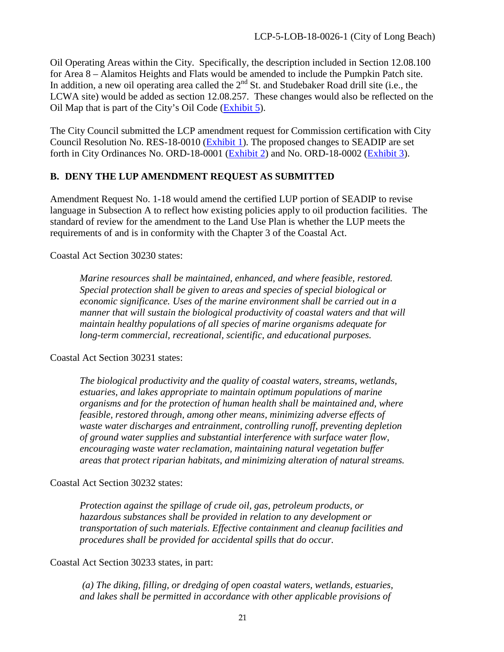Oil Operating Areas within the City. Specifically, the description included in Section 12.08.100 for Area 8 – Alamitos Heights and Flats would be amended to include the Pumpkin Patch site. In addition, a new oil operating area called the  $2<sup>nd</sup>$  St. and Studebaker Road drill site (i.e., the LCWA site) would be added as section 12.08.257. These changes would also be reflected on the Oil Map that is part of the City's Oil Code [\(Exhibit 5\)](https://documents.coastal.ca.gov/reports/2018/8/w15a/w15a-8-2018-exhibits.pdf).

The City Council submitted the LCP amendment request for Commission certification with City Council Resolution No. RES-18-0010 [\(Exhibit 1\)](https://documents.coastal.ca.gov/reports/2018/8/w15a/w15a-8-2018-exhibits.pdf). The proposed changes to SEADIP are set forth in City Ordinances No. ORD-18-0001 [\(Exhibit 2\)](https://documents.coastal.ca.gov/reports/2018/8/w15a/w15a-8-2018-exhibits.pdf) and No. ORD-18-0002 [\(Exhibit 3\)](https://documents.coastal.ca.gov/reports/2018/8/w15a/w15a-8-2018-exhibits.pdf).

# **B. DENY THE LUP AMENDMENT REQUEST AS SUBMITTED**

Amendment Request No. 1-18 would amend the certified LUP portion of SEADIP to revise language in Subsection A to reflect how existing policies apply to oil production facilities. The standard of review for the amendment to the Land Use Plan is whether the LUP meets the requirements of and is in conformity with the Chapter 3 of the Coastal Act.

Coastal Act Section 30230 states:

*Marine resources shall be maintained, enhanced, and where feasible, restored. Special protection shall be given to areas and species of special biological or economic significance. Uses of the marine environment shall be carried out in a manner that will sustain the biological productivity of coastal waters and that will maintain healthy populations of all species of marine organisms adequate for long-term commercial, recreational, scientific, and educational purposes.* 

Coastal Act Section 30231 states:

*The biological productivity and the quality of coastal waters, streams, wetlands, estuaries, and lakes appropriate to maintain optimum populations of marine organisms and for the protection of human health shall be maintained and, where feasible, restored through, among other means, minimizing adverse effects of waste water discharges and entrainment, controlling runoff, preventing depletion of ground water supplies and substantial interference with surface water flow, encouraging waste water reclamation, maintaining natural vegetation buffer areas that protect riparian habitats, and minimizing alteration of natural streams.* 

Coastal Act Section 30232 states:

*Protection against the spillage of crude oil, gas, petroleum products, or hazardous substances shall be provided in relation to any development or transportation of such materials. Effective containment and cleanup facilities and procedures shall be provided for accidental spills that do occur.*

Coastal Act Section 30233 states, in part:

*(a) The diking, filling, or dredging of open coastal waters, wetlands, estuaries, and lakes shall be permitted in accordance with other applicable provisions of*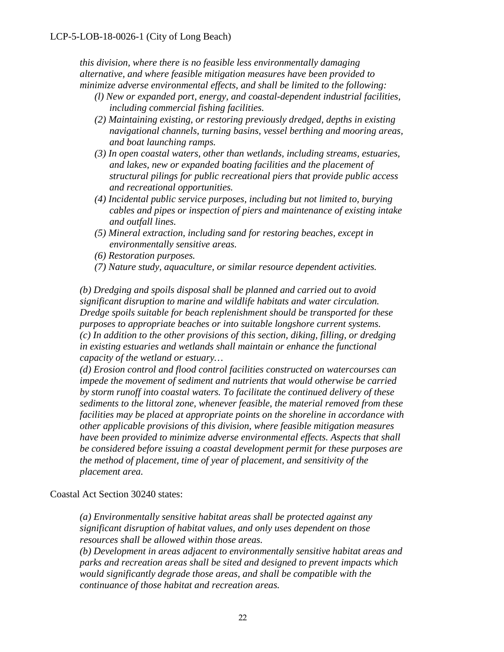*this division, where there is no feasible less environmentally damaging alternative, and where feasible mitigation measures have been provided to minimize adverse environmental effects, and shall be limited to the following:* 

- *(l) New or expanded port, energy, and coastal-dependent industrial facilities, including commercial fishing facilities.*
- *(2) Maintaining existing, or restoring previously dredged, depths in existing navigational channels, turning basins, vessel berthing and mooring areas, and boat launching ramps.*
- *(3) In open coastal waters, other than wetlands, including streams, estuaries, and lakes, new or expanded boating facilities and the placement of structural pilings for public recreational piers that provide public access and recreational opportunities.*
- *(4) Incidental public service purposes, including but not limited to, burying cables and pipes or inspection of piers and maintenance of existing intake and outfall lines.*
- *(5) Mineral extraction, including sand for restoring beaches, except in environmentally sensitive areas.*
- *(6) Restoration purposes.*
- *(7) Nature study, aquaculture, or similar resource dependent activities.*

*(b) Dredging and spoils disposal shall be planned and carried out to avoid significant disruption to marine and wildlife habitats and water circulation. Dredge spoils suitable for beach replenishment should be transported for these purposes to appropriate beaches or into suitable longshore current systems. (c) In addition to the other provisions of this section, diking, filling, or dredging in existing estuaries and wetlands shall maintain or enhance the functional capacity of the wetland or estuary…* 

*(d) Erosion control and flood control facilities constructed on watercourses can impede the movement of sediment and nutrients that would otherwise be carried by storm runoff into coastal waters. To facilitate the continued delivery of these sediments to the littoral zone, whenever feasible, the material removed from these facilities may be placed at appropriate points on the shoreline in accordance with other applicable provisions of this division, where feasible mitigation measures have been provided to minimize adverse environmental effects. Aspects that shall be considered before issuing a coastal development permit for these purposes are the method of placement, time of year of placement, and sensitivity of the placement area.* 

Coastal Act Section 30240 states:

*(a) Environmentally sensitive habitat areas shall be protected against any significant disruption of habitat values, and only uses dependent on those resources shall be allowed within those areas.* 

*(b) Development in areas adjacent to environmentally sensitive habitat areas and parks and recreation areas shall be sited and designed to prevent impacts which would significantly degrade those areas, and shall be compatible with the continuance of those habitat and recreation areas.*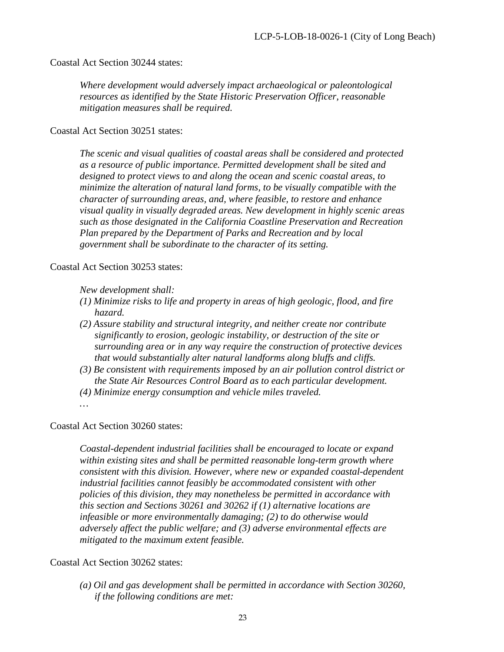Coastal Act Section 30244 states:

*Where development would adversely impact archaeological or paleontological resources as identified by the State Historic Preservation Officer, reasonable mitigation measures shall be required.*

Coastal Act Section 30251 states:

*The scenic and visual qualities of coastal areas shall be considered and protected as a resource of public importance. Permitted development shall be sited and designed to protect views to and along the ocean and scenic coastal areas, to minimize the alteration of natural land forms, to be visually compatible with the character of surrounding areas, and, where feasible, to restore and enhance visual quality in visually degraded areas. New development in highly scenic areas such as those designated in the California Coastline Preservation and Recreation Plan prepared by the Department of Parks and Recreation and by local government shall be subordinate to the character of its setting.* 

Coastal Act Section 30253 states:

*New development shall:* 

- *(1) Minimize risks to life and property in areas of high geologic, flood, and fire hazard.*
- *(2) Assure stability and structural integrity, and neither create nor contribute significantly to erosion, geologic instability, or destruction of the site or surrounding area or in any way require the construction of protective devices that would substantially alter natural landforms along bluffs and cliffs.*
- *(3) Be consistent with requirements imposed by an air pollution control district or the State Air Resources Control Board as to each particular development.*
- *(4) Minimize energy consumption and vehicle miles traveled.*

*…* 

Coastal Act Section 30260 states:

*Coastal-dependent industrial facilities shall be encouraged to locate or expand within existing sites and shall be permitted reasonable long-term growth where consistent with this division. However, where new or expanded coastal-dependent industrial facilities cannot feasibly be accommodated consistent with other policies of this division, they may nonetheless be permitted in accordance with this section and Sections 30261 and 30262 if (1) alternative locations are infeasible or more environmentally damaging; (2) to do otherwise would adversely affect the public welfare; and (3) adverse environmental effects are mitigated to the maximum extent feasible.*

Coastal Act Section 30262 states:

*(a) Oil and gas development shall be permitted in accordance with Section 30260, if the following conditions are met:*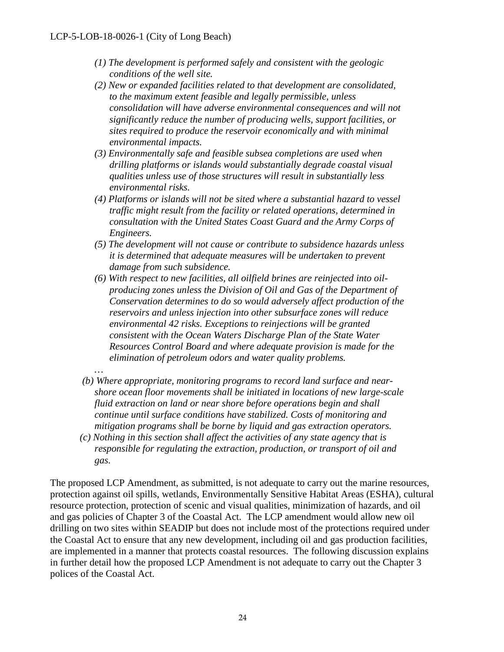- *(1) The development is performed safely and consistent with the geologic conditions of the well site.*
- *(2) New or expanded facilities related to that development are consolidated, to the maximum extent feasible and legally permissible, unless consolidation will have adverse environmental consequences and will not significantly reduce the number of producing wells, support facilities, or sites required to produce the reservoir economically and with minimal environmental impacts.*
- *(3) Environmentally safe and feasible subsea completions are used when drilling platforms or islands would substantially degrade coastal visual qualities unless use of those structures will result in substantially less environmental risks.*
- *(4) Platforms or islands will not be sited where a substantial hazard to vessel traffic might result from the facility or related operations, determined in consultation with the United States Coast Guard and the Army Corps of Engineers.*
- *(5) The development will not cause or contribute to subsidence hazards unless it is determined that adequate measures will be undertaken to prevent damage from such subsidence.*
- *(6) With respect to new facilities, all oilfield brines are reinjected into oilproducing zones unless the Division of Oil and Gas of the Department of Conservation determines to do so would adversely affect production of the reservoirs and unless injection into other subsurface zones will reduce environmental 42 risks. Exceptions to reinjections will be granted consistent with the Ocean Waters Discharge Plan of the State Water Resources Control Board and where adequate provision is made for the elimination of petroleum odors and water quality problems.*
- *…*
- *(b) Where appropriate, monitoring programs to record land surface and nearshore ocean floor movements shall be initiated in locations of new large-scale fluid extraction on land or near shore before operations begin and shall continue until surface conditions have stabilized. Costs of monitoring and mitigation programs shall be borne by liquid and gas extraction operators.*
- *(c) Nothing in this section shall affect the activities of any state agency that is responsible for regulating the extraction, production, or transport of oil and gas.*

The proposed LCP Amendment, as submitted, is not adequate to carry out the marine resources, protection against oil spills, wetlands, Environmentally Sensitive Habitat Areas (ESHA), cultural resource protection, protection of scenic and visual qualities, minimization of hazards, and oil and gas policies of Chapter 3 of the Coastal Act. The LCP amendment would allow new oil drilling on two sites within SEADIP but does not include most of the protections required under the Coastal Act to ensure that any new development, including oil and gas production facilities, are implemented in a manner that protects coastal resources. The following discussion explains in further detail how the proposed LCP Amendment is not adequate to carry out the Chapter 3 polices of the Coastal Act.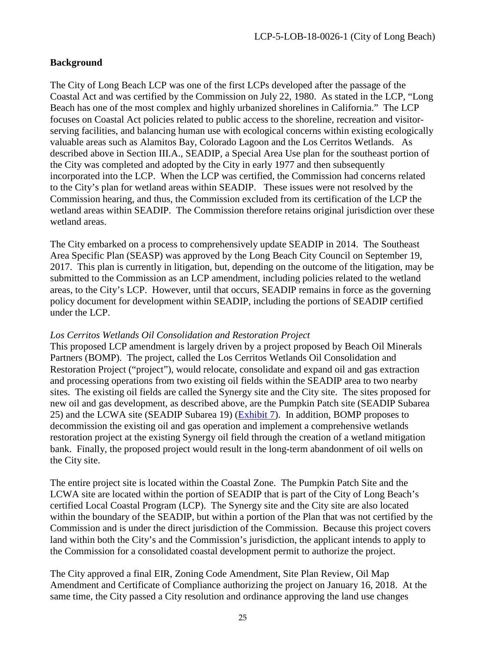#### **Background**

The City of Long Beach LCP was one of the first LCPs developed after the passage of the Coastal Act and was certified by the Commission on July 22, 1980. As stated in the LCP, "Long Beach has one of the most complex and highly urbanized shorelines in California." The LCP focuses on Coastal Act policies related to public access to the shoreline, recreation and visitorserving facilities, and balancing human use with ecological concerns within existing ecologically valuable areas such as Alamitos Bay, Colorado Lagoon and the Los Cerritos Wetlands. As described above in Section III.A., SEADIP, a Special Area Use plan for the southeast portion of the City was completed and adopted by the City in early 1977 and then subsequently incorporated into the LCP. When the LCP was certified, the Commission had concerns related to the City's plan for wetland areas within SEADIP. These issues were not resolved by the Commission hearing, and thus, the Commission excluded from its certification of the LCP the wetland areas within SEADIP. The Commission therefore retains original jurisdiction over these wetland areas.

The City embarked on a process to comprehensively update SEADIP in 2014. The Southeast Area Specific Plan (SEASP) was approved by the Long Beach City Council on September 19, 2017. This plan is currently in litigation, but, depending on the outcome of the litigation, may be submitted to the Commission as an LCP amendment, including policies related to the wetland areas, to the City's LCP. However, until that occurs, SEADIP remains in force as the governing policy document for development within SEADIP, including the portions of SEADIP certified under the LCP.

#### *Los Cerritos Wetlands Oil Consolidation and Restoration Project*

This proposed LCP amendment is largely driven by a project proposed by Beach Oil Minerals Partners (BOMP). The project, called the Los Cerritos Wetlands Oil Consolidation and Restoration Project ("project"), would relocate, consolidate and expand oil and gas extraction and processing operations from two existing oil fields within the SEADIP area to two nearby sites. The existing oil fields are called the Synergy site and the City site. The sites proposed for new oil and gas development, as described above, are the Pumpkin Patch site (SEADIP Subarea 25) and the LCWA site (SEADIP Subarea 19) [\(Exhibit 7\)](https://documents.coastal.ca.gov/reports/2018/8/w15a/w15a-8-2018-exhibits.pdf). In addition, BOMP proposes to decommission the existing oil and gas operation and implement a comprehensive wetlands restoration project at the existing Synergy oil field through the creation of a wetland mitigation bank. Finally, the proposed project would result in the long-term abandonment of oil wells on the City site.

The entire project site is located within the Coastal Zone. The Pumpkin Patch Site and the LCWA site are located within the portion of SEADIP that is part of the City of Long Beach's certified Local Coastal Program (LCP). The Synergy site and the City site are also located within the boundary of the SEADIP, but within a portion of the Plan that was not certified by the Commission and is under the direct jurisdiction of the Commission. Because this project covers land within both the City's and the Commission's jurisdiction, the applicant intends to apply to the Commission for a consolidated coastal development permit to authorize the project.

The City approved a final EIR, Zoning Code Amendment, Site Plan Review, Oil Map Amendment and Certificate of Compliance authorizing the project on January 16, 2018. At the same time, the City passed a City resolution and ordinance approving the land use changes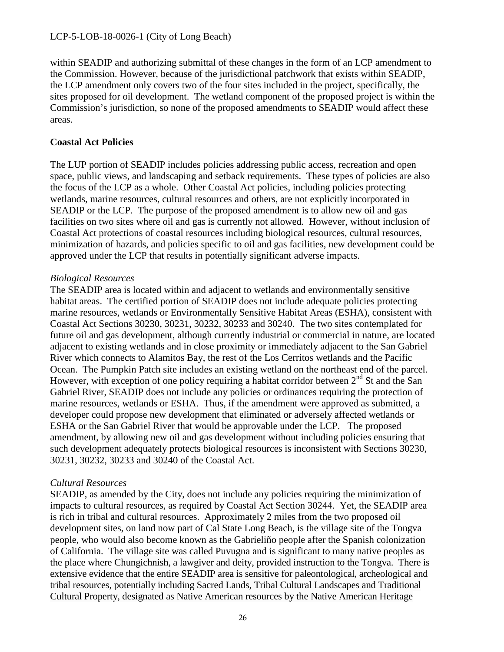within SEADIP and authorizing submittal of these changes in the form of an LCP amendment to the Commission. However, because of the jurisdictional patchwork that exists within SEADIP, the LCP amendment only covers two of the four sites included in the project, specifically, the sites proposed for oil development. The wetland component of the proposed project is within the Commission's jurisdiction, so none of the proposed amendments to SEADIP would affect these areas.

#### **Coastal Act Policies**

The LUP portion of SEADIP includes policies addressing public access, recreation and open space, public views, and landscaping and setback requirements. These types of policies are also the focus of the LCP as a whole. Other Coastal Act policies, including policies protecting wetlands, marine resources, cultural resources and others, are not explicitly incorporated in SEADIP or the LCP. The purpose of the proposed amendment is to allow new oil and gas facilities on two sites where oil and gas is currently not allowed. However, without inclusion of Coastal Act protections of coastal resources including biological resources, cultural resources, minimization of hazards, and policies specific to oil and gas facilities, new development could be approved under the LCP that results in potentially significant adverse impacts.

#### *Biological Resources*

The SEADIP area is located within and adjacent to wetlands and environmentally sensitive habitat areas. The certified portion of SEADIP does not include adequate policies protecting marine resources, wetlands or Environmentally Sensitive Habitat Areas (ESHA), consistent with Coastal Act Sections 30230, 30231, 30232, 30233 and 30240. The two sites contemplated for future oil and gas development, although currently industrial or commercial in nature, are located adjacent to existing wetlands and in close proximity or immediately adjacent to the San Gabriel River which connects to Alamitos Bay, the rest of the Los Cerritos wetlands and the Pacific Ocean. The Pumpkin Patch site includes an existing wetland on the northeast end of the parcel. However, with exception of one policy requiring a habitat corridor between  $2<sup>nd</sup>$  St and the San Gabriel River, SEADIP does not include any policies or ordinances requiring the protection of marine resources, wetlands or ESHA. Thus, if the amendment were approved as submitted, a developer could propose new development that eliminated or adversely affected wetlands or ESHA or the San Gabriel River that would be approvable under the LCP. The proposed amendment, by allowing new oil and gas development without including policies ensuring that such development adequately protects biological resources is inconsistent with Sections 30230, 30231, 30232, 30233 and 30240 of the Coastal Act.

#### *Cultural Resources*

SEADIP, as amended by the City, does not include any policies requiring the minimization of impacts to cultural resources, as required by Coastal Act Section 30244. Yet, the SEADIP area is rich in tribal and cultural resources. Approximately 2 miles from the two proposed oil development sites, on land now part of Cal State Long Beach, is the village site of the Tongva people, who would also become known as the Gabrieliño people after the Spanish colonization of California. The village site was called Puvugna and is significant to many native peoples as the place where Chungichnish, a lawgiver and deity, provided instruction to the Tongva. There is extensive evidence that the entire SEADIP area is sensitive for paleontological, archeological and tribal resources, potentially including Sacred Lands, Tribal Cultural Landscapes and Traditional Cultural Property, designated as Native American resources by the Native American Heritage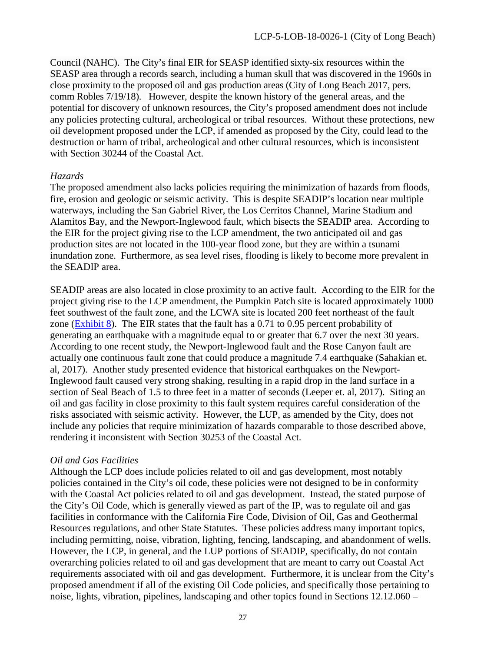Council (NAHC). The City's final EIR for SEASP identified sixty-six resources within the SEASP area through a records search, including a human skull that was discovered in the 1960s in close proximity to the proposed oil and gas production areas (City of Long Beach 2017, pers. comm Robles 7/19/18). However, despite the known history of the general areas, and the potential for discovery of unknown resources, the City's proposed amendment does not include any policies protecting cultural, archeological or tribal resources. Without these protections, new oil development proposed under the LCP, if amended as proposed by the City, could lead to the destruction or harm of tribal, archeological and other cultural resources, which is inconsistent with Section 30244 of the Coastal Act.

#### *Hazards*

The proposed amendment also lacks policies requiring the minimization of hazards from floods, fire, erosion and geologic or seismic activity. This is despite SEADIP's location near multiple waterways, including the San Gabriel River, the Los Cerritos Channel, Marine Stadium and Alamitos Bay, and the Newport-Inglewood fault, which bisects the SEADIP area. According to the EIR for the project giving rise to the LCP amendment, the two anticipated oil and gas production sites are not located in the 100-year flood zone, but they are within a tsunami inundation zone. Furthermore, as sea level rises, flooding is likely to become more prevalent in the SEADIP area.

SEADIP areas are also located in close proximity to an active fault. According to the EIR for the project giving rise to the LCP amendment, the Pumpkin Patch site is located approximately 1000 feet southwest of the fault zone, and the LCWA site is located 200 feet northeast of the fault zone [\(Exhibit 8\)](https://documents.coastal.ca.gov/reports/2018/8/w15a/w15a-8-2018-exhibits.pdf). The EIR states that the fault has a  $0.71$  to  $0.95$  percent probability of generating an earthquake with a magnitude equal to or greater that 6.7 over the next 30 years. According to one recent study, the Newport-Inglewood fault and the Rose Canyon fault are actually one continuous fault zone that could produce a magnitude 7.4 earthquake (Sahakian et. al, 2017). Another study presented evidence that historical earthquakes on the Newport-Inglewood fault caused very strong shaking, resulting in a rapid drop in the land surface in a section of Seal Beach of 1.5 to three feet in a matter of seconds (Leeper et. al, 2017). Siting an oil and gas facility in close proximity to this fault system requires careful consideration of the risks associated with seismic activity. However, the LUP, as amended by the City, does not include any policies that require minimization of hazards comparable to those described above, rendering it inconsistent with Section 30253 of the Coastal Act.

#### *Oil and Gas Facilities*

Although the LCP does include policies related to oil and gas development, most notably policies contained in the City's oil code, these policies were not designed to be in conformity with the Coastal Act policies related to oil and gas development. Instead, the stated purpose of the City's Oil Code, which is generally viewed as part of the IP, was to regulate oil and gas facilities in conformance with the California Fire Code, Division of Oil, Gas and Geothermal Resources regulations, and other State Statutes. These policies address many important topics, including permitting, noise, vibration, lighting, fencing, landscaping, and abandonment of wells. However, the LCP, in general, and the LUP portions of SEADIP, specifically, do not contain overarching policies related to oil and gas development that are meant to carry out Coastal Act requirements associated with oil and gas development. Furthermore, it is unclear from the City's proposed amendment if all of the existing Oil Code policies, and specifically those pertaining to noise, lights, vibration, pipelines, landscaping and other topics found in Sections 12.12.060 –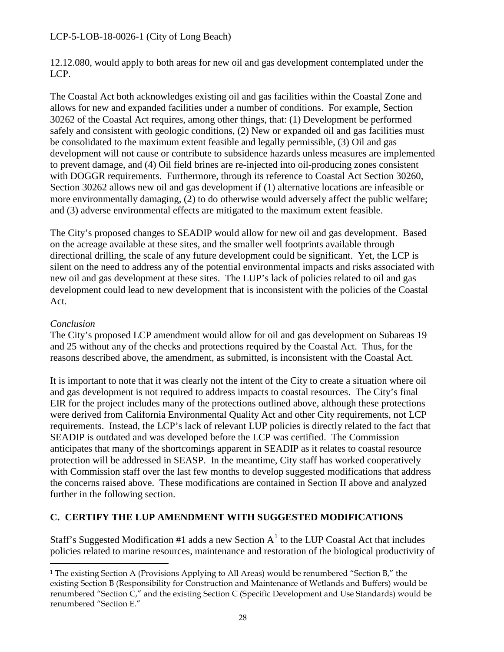12.12.080, would apply to both areas for new oil and gas development contemplated under the LCP.

The Coastal Act both acknowledges existing oil and gas facilities within the Coastal Zone and allows for new and expanded facilities under a number of conditions. For example, Section 30262 of the Coastal Act requires, among other things, that: (1) Development be performed safely and consistent with geologic conditions, (2) New or expanded oil and gas facilities must be consolidated to the maximum extent feasible and legally permissible, (3) Oil and gas development will not cause or contribute to subsidence hazards unless measures are implemented to prevent damage, and (4) Oil field brines are re-injected into oil-producing zones consistent with DOGGR requirements. Furthermore, through its reference to Coastal Act Section 30260, Section 30262 allows new oil and gas development if (1) alternative locations are infeasible or more environmentally damaging, (2) to do otherwise would adversely affect the public welfare; and (3) adverse environmental effects are mitigated to the maximum extent feasible.

The City's proposed changes to SEADIP would allow for new oil and gas development. Based on the acreage available at these sites, and the smaller well footprints available through directional drilling, the scale of any future development could be significant. Yet, the LCP is silent on the need to address any of the potential environmental impacts and risks associated with new oil and gas development at these sites. The LUP's lack of policies related to oil and gas development could lead to new development that is inconsistent with the policies of the Coastal Act.

#### *Conclusion*

 $\overline{a}$ 

The City's proposed LCP amendment would allow for oil and gas development on Subareas 19 and 25 without any of the checks and protections required by the Coastal Act. Thus, for the reasons described above, the amendment, as submitted, is inconsistent with the Coastal Act.

It is important to note that it was clearly not the intent of the City to create a situation where oil and gas development is not required to address impacts to coastal resources. The City's final EIR for the project includes many of the protections outlined above, although these protections were derived from California Environmental Quality Act and other City requirements, not LCP requirements. Instead, the LCP's lack of relevant LUP policies is directly related to the fact that SEADIP is outdated and was developed before the LCP was certified. The Commission anticipates that many of the shortcomings apparent in SEADIP as it relates to coastal resource protection will be addressed in SEASP. In the meantime, City staff has worked cooperatively with Commission staff over the last few months to develop suggested modifications that address the concerns raised above. These modifications are contained in Section II above and analyzed further in the following section.

#### **C. CERTIFY THE LUP AMENDMENT WITH SUGGESTED MODIFICATIONS**

Staff's Suggested Modification #[1](#page-27-0) adds a new Section  $A<sup>1</sup>$  to the LUP Coastal Act that includes policies related to marine resources, maintenance and restoration of the biological productivity of

<span id="page-27-0"></span><sup>&</sup>lt;sup>1</sup> The existing Section A (Provisions Applying to All Areas) would be renumbered "Section B," the existing Section B (Responsibility for Construction and Maintenance of Wetlands and Buffers) would be renumbered "Section C," and the existing Section C (Specific Development and Use Standards) would be renumbered "Section E."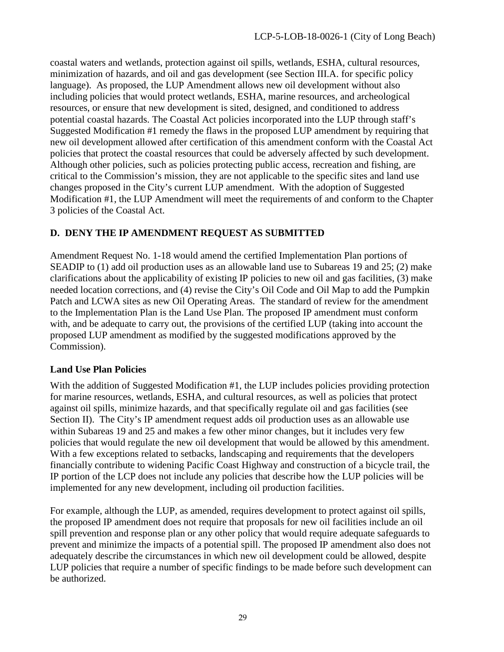coastal waters and wetlands, protection against oil spills, wetlands, ESHA, cultural resources, minimization of hazards, and oil and gas development (see Section III.A. for specific policy language). As proposed, the LUP Amendment allows new oil development without also including policies that would protect wetlands, ESHA, marine resources, and archeological resources, or ensure that new development is sited, designed, and conditioned to address potential coastal hazards. The Coastal Act policies incorporated into the LUP through staff's Suggested Modification #1 remedy the flaws in the proposed LUP amendment by requiring that new oil development allowed after certification of this amendment conform with the Coastal Act policies that protect the coastal resources that could be adversely affected by such development. Although other policies, such as policies protecting public access, recreation and fishing, are critical to the Commission's mission, they are not applicable to the specific sites and land use changes proposed in the City's current LUP amendment. With the adoption of Suggested Modification #1, the LUP Amendment will meet the requirements of and conform to the Chapter 3 policies of the Coastal Act.

# **D. DENY THE IP AMENDMENT REQUEST AS SUBMITTED**

Amendment Request No. 1-18 would amend the certified Implementation Plan portions of SEADIP to (1) add oil production uses as an allowable land use to Subareas 19 and 25; (2) make clarifications about the applicability of existing IP policies to new oil and gas facilities, (3) make needed location corrections, and (4) revise the City's Oil Code and Oil Map to add the Pumpkin Patch and LCWA sites as new Oil Operating Areas. The standard of review for the amendment to the Implementation Plan is the Land Use Plan. The proposed IP amendment must conform with, and be adequate to carry out, the provisions of the certified LUP (taking into account the proposed LUP amendment as modified by the suggested modifications approved by the Commission).

# **Land Use Plan Policies**

With the addition of Suggested Modification #1, the LUP includes policies providing protection for marine resources, wetlands, ESHA, and cultural resources, as well as policies that protect against oil spills, minimize hazards, and that specifically regulate oil and gas facilities (see Section II). The City's IP amendment request adds oil production uses as an allowable use within Subareas 19 and 25 and makes a few other minor changes, but it includes very few policies that would regulate the new oil development that would be allowed by this amendment. With a few exceptions related to setbacks, landscaping and requirements that the developers financially contribute to widening Pacific Coast Highway and construction of a bicycle trail, the IP portion of the LCP does not include any policies that describe how the LUP policies will be implemented for any new development, including oil production facilities.

For example, although the LUP, as amended, requires development to protect against oil spills, the proposed IP amendment does not require that proposals for new oil facilities include an oil spill prevention and response plan or any other policy that would require adequate safeguards to prevent and minimize the impacts of a potential spill. The proposed IP amendment also does not adequately describe the circumstances in which new oil development could be allowed, despite LUP policies that require a number of specific findings to be made before such development can be authorized.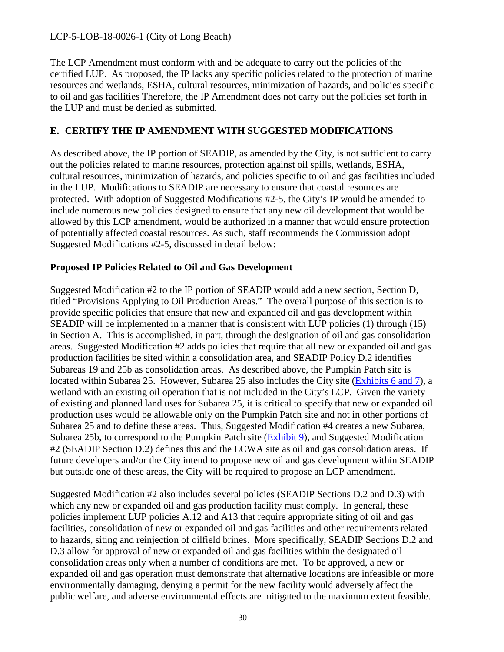The LCP Amendment must conform with and be adequate to carry out the policies of the certified LUP. As proposed, the IP lacks any specific policies related to the protection of marine resources and wetlands, ESHA, cultural resources, minimization of hazards, and policies specific to oil and gas facilities Therefore, the IP Amendment does not carry out the policies set forth in the LUP and must be denied as submitted.

#### **E. CERTIFY THE IP AMENDMENT WITH SUGGESTED MODIFICATIONS**

As described above, the IP portion of SEADIP, as amended by the City, is not sufficient to carry out the policies related to marine resources, protection against oil spills, wetlands, ESHA, cultural resources, minimization of hazards, and policies specific to oil and gas facilities included in the LUP. Modifications to SEADIP are necessary to ensure that coastal resources are protected. With adoption of Suggested Modifications #2-5, the City's IP would be amended to include numerous new policies designed to ensure that any new oil development that would be allowed by this LCP amendment, would be authorized in a manner that would ensure protection of potentially affected coastal resources. As such, staff recommends the Commission adopt Suggested Modifications #2-5, discussed in detail below:

#### **Proposed IP Policies Related to Oil and Gas Development**

Suggested Modification #2 to the IP portion of SEADIP would add a new section, Section D, titled "Provisions Applying to Oil Production Areas." The overall purpose of this section is to provide specific policies that ensure that new and expanded oil and gas development within SEADIP will be implemented in a manner that is consistent with LUP policies (1) through (15) in Section A. This is accomplished, in part, through the designation of oil and gas consolidation areas. Suggested Modification #2 adds policies that require that all new or expanded oil and gas production facilities be sited within a consolidation area, and SEADIP Policy D.2 identifies Subareas 19 and 25b as consolidation areas. As described above, the Pumpkin Patch site is located within Subarea 25. However, Subarea 25 also includes the City site [\(Exhibits 6 and 7\)](https://documents.coastal.ca.gov/reports/2018/8/w15a/w15a-8-2018-exhibits.pdf), a wetland with an existing oil operation that is not included in the City's LCP. Given the variety of existing and planned land uses for Subarea 25, it is critical to specify that new or expanded oil production uses would be allowable only on the Pumpkin Patch site and not in other portions of Subarea 25 and to define these areas. Thus, Suggested Modification #4 creates a new Subarea, Subarea 25b, to correspond to the Pumpkin Patch site [\(Exhibit 9\)](https://documents.coastal.ca.gov/reports/2018/8/w15a/w15a-8-2018-exhibits.pdf), and Suggested Modification #2 (SEADIP Section D.2) defines this and the LCWA site as oil and gas consolidation areas. If future developers and/or the City intend to propose new oil and gas development within SEADIP but outside one of these areas, the City will be required to propose an LCP amendment.

Suggested Modification #2 also includes several policies (SEADIP Sections D.2 and D.3) with which any new or expanded oil and gas production facility must comply. In general, these policies implement LUP policies A.12 and A13 that require appropriate siting of oil and gas facilities, consolidation of new or expanded oil and gas facilities and other requirements related to hazards, siting and reinjection of oilfield brines. More specifically, SEADIP Sections D.2 and D.3 allow for approval of new or expanded oil and gas facilities within the designated oil consolidation areas only when a number of conditions are met. To be approved, a new or expanded oil and gas operation must demonstrate that alternative locations are infeasible or more environmentally damaging, denying a permit for the new facility would adversely affect the public welfare, and adverse environmental effects are mitigated to the maximum extent feasible.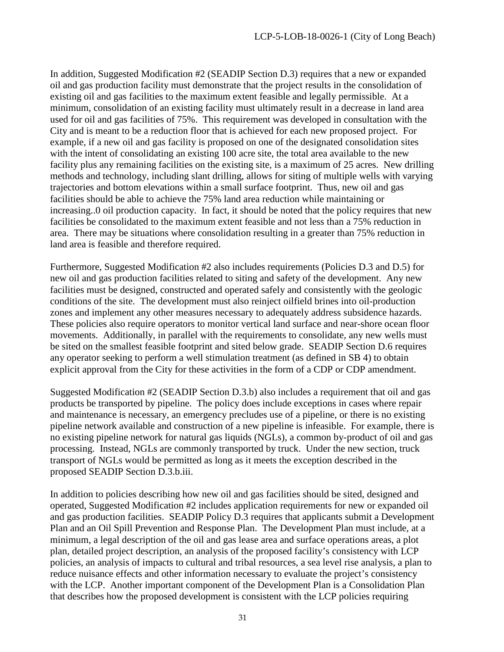In addition, Suggested Modification #2 (SEADIP Section D.3) requires that a new or expanded oil and gas production facility must demonstrate that the project results in the consolidation of existing oil and gas facilities to the maximum extent feasible and legally permissible. At a minimum, consolidation of an existing facility must ultimately result in a decrease in land area used for oil and gas facilities of 75%. This requirement was developed in consultation with the City and is meant to be a reduction floor that is achieved for each new proposed project. For example, if a new oil and gas facility is proposed on one of the designated consolidation sites with the intent of consolidating an existing 100 acre site, the total area available to the new facility plus any remaining facilities on the existing site, is a maximum of 25 acres. New drilling methods and technology, including slant drilling, allows for siting of multiple wells with varying trajectories and bottom elevations within a small surface footprint. Thus, new oil and gas facilities should be able to achieve the 75% land area reduction while maintaining or increasing..0 oil production capacity. In fact, it should be noted that the policy requires that new facilities be consolidated to the maximum extent feasible and not less than a 75% reduction in area. There may be situations where consolidation resulting in a greater than 75% reduction in land area is feasible and therefore required.

Furthermore, Suggested Modification #2 also includes requirements (Policies D.3 and D.5) for new oil and gas production facilities related to siting and safety of the development. Any new facilities must be designed, constructed and operated safely and consistently with the geologic conditions of the site. The development must also reinject oilfield brines into oil-production zones and implement any other measures necessary to adequately address subsidence hazards. These policies also require operators to monitor vertical land surface and near-shore ocean floor movements. Additionally, in parallel with the requirements to consolidate, any new wells must be sited on the smallest feasible footprint and sited below grade. SEADIP Section D.6 requires any operator seeking to perform a well stimulation treatment (as defined in SB 4) to obtain explicit approval from the City for these activities in the form of a CDP or CDP amendment.

Suggested Modification #2 (SEADIP Section D.3.b) also includes a requirement that oil and gas products be transported by pipeline. The policy does include exceptions in cases where repair and maintenance is necessary, an emergency precludes use of a pipeline, or there is no existing pipeline network available and construction of a new pipeline is infeasible. For example, there is no existing pipeline network for natural gas liquids (NGLs), a common by-product of oil and gas processing. Instead, NGLs are commonly transported by truck. Under the new section, truck transport of NGLs would be permitted as long as it meets the exception described in the proposed SEADIP Section D.3.b.iii.

In addition to policies describing how new oil and gas facilities should be sited, designed and operated, Suggested Modification #2 includes application requirements for new or expanded oil and gas production facilities. SEADIP Policy D.3 requires that applicants submit a Development Plan and an Oil Spill Prevention and Response Plan. The Development Plan must include, at a minimum, a legal description of the oil and gas lease area and surface operations areas, a plot plan, detailed project description, an analysis of the proposed facility's consistency with LCP policies, an analysis of impacts to cultural and tribal resources, a sea level rise analysis, a plan to reduce nuisance effects and other information necessary to evaluate the project's consistency with the LCP. Another important component of the Development Plan is a Consolidation Plan that describes how the proposed development is consistent with the LCP policies requiring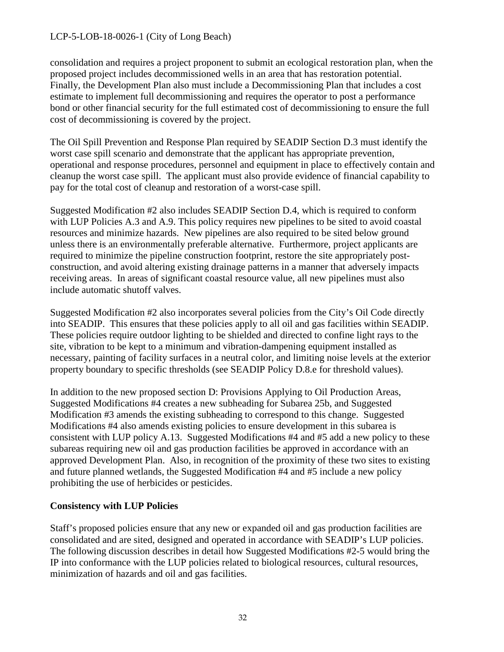consolidation and requires a project proponent to submit an ecological restoration plan, when the proposed project includes decommissioned wells in an area that has restoration potential. Finally, the Development Plan also must include a Decommissioning Plan that includes a cost estimate to implement full decommissioning and requires the operator to post a performance bond or other financial security for the full estimated cost of decommissioning to ensure the full cost of decommissioning is covered by the project.

The Oil Spill Prevention and Response Plan required by SEADIP Section D.3 must identify the worst case spill scenario and demonstrate that the applicant has appropriate prevention, operational and response procedures, personnel and equipment in place to effectively contain and cleanup the worst case spill. The applicant must also provide evidence of financial capability to pay for the total cost of cleanup and restoration of a worst-case spill.

Suggested Modification #2 also includes SEADIP Section D.4, which is required to conform with LUP Policies A.3 and A.9. This policy requires new pipelines to be sited to avoid coastal resources and minimize hazards. New pipelines are also required to be sited below ground unless there is an environmentally preferable alternative. Furthermore, project applicants are required to minimize the pipeline construction footprint, restore the site appropriately postconstruction, and avoid altering existing drainage patterns in a manner that adversely impacts receiving areas. In areas of significant coastal resource value, all new pipelines must also include automatic shutoff valves.

Suggested Modification #2 also incorporates several policies from the City's Oil Code directly into SEADIP. This ensures that these policies apply to all oil and gas facilities within SEADIP. These policies require outdoor lighting to be shielded and directed to confine light rays to the site, vibration to be kept to a minimum and vibration-dampening equipment installed as necessary, painting of facility surfaces in a neutral color, and limiting noise levels at the exterior property boundary to specific thresholds (see SEADIP Policy D.8.e for threshold values).

In addition to the new proposed section D: Provisions Applying to Oil Production Areas, Suggested Modifications #4 creates a new subheading for Subarea 25b, and Suggested Modification #3 amends the existing subheading to correspond to this change. Suggested Modifications #4 also amends existing policies to ensure development in this subarea is consistent with LUP policy A.13. Suggested Modifications #4 and #5 add a new policy to these subareas requiring new oil and gas production facilities be approved in accordance with an approved Development Plan. Also, in recognition of the proximity of these two sites to existing and future planned wetlands, the Suggested Modification #4 and #5 include a new policy prohibiting the use of herbicides or pesticides.

#### **Consistency with LUP Policies**

Staff's proposed policies ensure that any new or expanded oil and gas production facilities are consolidated and are sited, designed and operated in accordance with SEADIP's LUP policies. The following discussion describes in detail how Suggested Modifications #2-5 would bring the IP into conformance with the LUP policies related to biological resources, cultural resources, minimization of hazards and oil and gas facilities.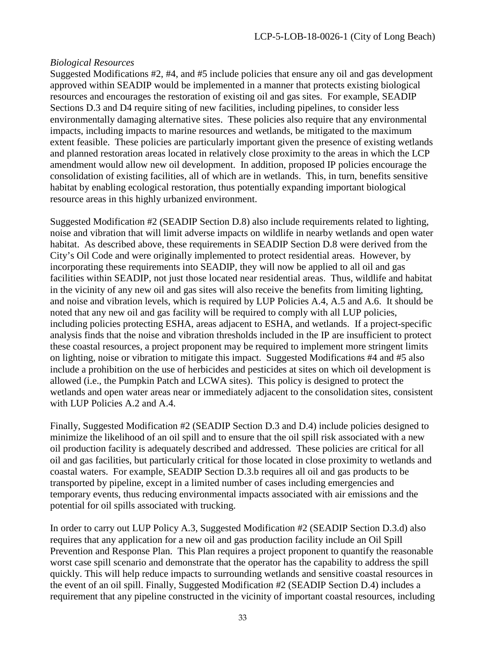#### *Biological Resources*

Suggested Modifications #2, #4, and #5 include policies that ensure any oil and gas development approved within SEADIP would be implemented in a manner that protects existing biological resources and encourages the restoration of existing oil and gas sites. For example, SEADIP Sections D.3 and D4 require siting of new facilities, including pipelines, to consider less environmentally damaging alternative sites. These policies also require that any environmental impacts, including impacts to marine resources and wetlands, be mitigated to the maximum extent feasible. These policies are particularly important given the presence of existing wetlands and planned restoration areas located in relatively close proximity to the areas in which the LCP amendment would allow new oil development. In addition, proposed IP policies encourage the consolidation of existing facilities, all of which are in wetlands. This, in turn, benefits sensitive habitat by enabling ecological restoration, thus potentially expanding important biological resource areas in this highly urbanized environment.

Suggested Modification #2 (SEADIP Section D.8) also include requirements related to lighting, noise and vibration that will limit adverse impacts on wildlife in nearby wetlands and open water habitat. As described above, these requirements in SEADIP Section D.8 were derived from the City's Oil Code and were originally implemented to protect residential areas. However, by incorporating these requirements into SEADIP, they will now be applied to all oil and gas facilities within SEADIP, not just those located near residential areas. Thus, wildlife and habitat in the vicinity of any new oil and gas sites will also receive the benefits from limiting lighting, and noise and vibration levels, which is required by LUP Policies A.4, A.5 and A.6. It should be noted that any new oil and gas facility will be required to comply with all LUP policies, including policies protecting ESHA, areas adjacent to ESHA, and wetlands. If a project-specific analysis finds that the noise and vibration thresholds included in the IP are insufficient to protect these coastal resources, a project proponent may be required to implement more stringent limits on lighting, noise or vibration to mitigate this impact. Suggested Modifications #4 and #5 also include a prohibition on the use of herbicides and pesticides at sites on which oil development is allowed (i.e., the Pumpkin Patch and LCWA sites). This policy is designed to protect the wetlands and open water areas near or immediately adjacent to the consolidation sites, consistent with LUP Policies A.2 and A.4.

Finally, Suggested Modification #2 (SEADIP Section D.3 and D.4) include policies designed to minimize the likelihood of an oil spill and to ensure that the oil spill risk associated with a new oil production facility is adequately described and addressed. These policies are critical for all oil and gas facilities, but particularly critical for those located in close proximity to wetlands and coastal waters. For example, SEADIP Section D.3.b requires all oil and gas products to be transported by pipeline, except in a limited number of cases including emergencies and temporary events, thus reducing environmental impacts associated with air emissions and the potential for oil spills associated with trucking.

In order to carry out LUP Policy A.3, Suggested Modification #2 (SEADIP Section D.3.d) also requires that any application for a new oil and gas production facility include an Oil Spill Prevention and Response Plan. This Plan requires a project proponent to quantify the reasonable worst case spill scenario and demonstrate that the operator has the capability to address the spill quickly. This will help reduce impacts to surrounding wetlands and sensitive coastal resources in the event of an oil spill. Finally, Suggested Modification #2 (SEADIP Section D.4) includes a requirement that any pipeline constructed in the vicinity of important coastal resources, including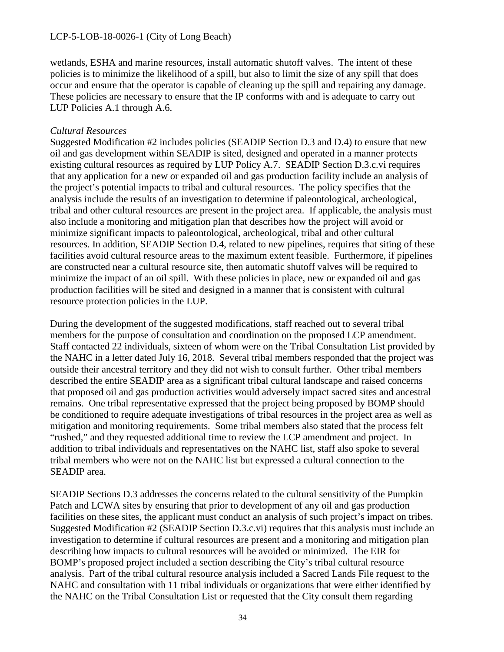wetlands, ESHA and marine resources, install automatic shutoff valves. The intent of these policies is to minimize the likelihood of a spill, but also to limit the size of any spill that does occur and ensure that the operator is capable of cleaning up the spill and repairing any damage. These policies are necessary to ensure that the IP conforms with and is adequate to carry out LUP Policies A.1 through A.6.

#### *Cultural Resources*

Suggested Modification #2 includes policies (SEADIP Section D.3 and D.4) to ensure that new oil and gas development within SEADIP is sited, designed and operated in a manner protects existing cultural resources as required by LUP Policy A.7. SEADIP Section D.3.c.vi requires that any application for a new or expanded oil and gas production facility include an analysis of the project's potential impacts to tribal and cultural resources. The policy specifies that the analysis include the results of an investigation to determine if paleontological, archeological, tribal and other cultural resources are present in the project area. If applicable, the analysis must also include a monitoring and mitigation plan that describes how the project will avoid or minimize significant impacts to paleontological, archeological, tribal and other cultural resources. In addition, SEADIP Section D.4, related to new pipelines, requires that siting of these facilities avoid cultural resource areas to the maximum extent feasible. Furthermore, if pipelines are constructed near a cultural resource site, then automatic shutoff valves will be required to minimize the impact of an oil spill. With these policies in place, new or expanded oil and gas production facilities will be sited and designed in a manner that is consistent with cultural resource protection policies in the LUP.

During the development of the suggested modifications, staff reached out to several tribal members for the purpose of consultation and coordination on the proposed LCP amendment. Staff contacted 22 individuals, sixteen of whom were on the Tribal Consultation List provided by the NAHC in a letter dated July 16, 2018. Several tribal members responded that the project was outside their ancestral territory and they did not wish to consult further. Other tribal members described the entire SEADIP area as a significant tribal cultural landscape and raised concerns that proposed oil and gas production activities would adversely impact sacred sites and ancestral remains. One tribal representative expressed that the project being proposed by BOMP should be conditioned to require adequate investigations of tribal resources in the project area as well as mitigation and monitoring requirements. Some tribal members also stated that the process felt "rushed," and they requested additional time to review the LCP amendment and project. In addition to tribal individuals and representatives on the NAHC list, staff also spoke to several tribal members who were not on the NAHC list but expressed a cultural connection to the SEADIP area.

SEADIP Sections D.3 addresses the concerns related to the cultural sensitivity of the Pumpkin Patch and LCWA sites by ensuring that prior to development of any oil and gas production facilities on these sites, the applicant must conduct an analysis of such project's impact on tribes. Suggested Modification #2 (SEADIP Section D.3.c.vi) requires that this analysis must include an investigation to determine if cultural resources are present and a monitoring and mitigation plan describing how impacts to cultural resources will be avoided or minimized. The EIR for BOMP's proposed project included a section describing the City's tribal cultural resource analysis. Part of the tribal cultural resource analysis included a Sacred Lands File request to the NAHC and consultation with 11 tribal individuals or organizations that were either identified by the NAHC on the Tribal Consultation List or requested that the City consult them regarding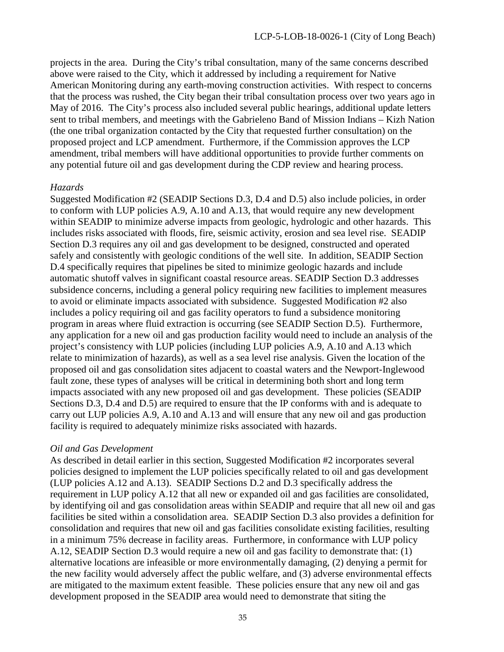projects in the area. During the City's tribal consultation, many of the same concerns described above were raised to the City, which it addressed by including a requirement for Native American Monitoring during any earth-moving construction activities. With respect to concerns that the process was rushed, the City began their tribal consultation process over two years ago in May of 2016. The City's process also included several public hearings, additional update letters sent to tribal members, and meetings with the Gabrieleno Band of Mission Indians – Kizh Nation (the one tribal organization contacted by the City that requested further consultation) on the proposed project and LCP amendment. Furthermore, if the Commission approves the LCP amendment, tribal members will have additional opportunities to provide further comments on any potential future oil and gas development during the CDP review and hearing process.

#### *Hazards*

Suggested Modification #2 (SEADIP Sections D.3, D.4 and D.5) also include policies, in order to conform with LUP policies A.9, A.10 and A.13, that would require any new development within SEADIP to minimize adverse impacts from geologic, hydrologic and other hazards. This includes risks associated with floods, fire, seismic activity, erosion and sea level rise. SEADIP Section D.3 requires any oil and gas development to be designed, constructed and operated safely and consistently with geologic conditions of the well site. In addition, SEADIP Section D.4 specifically requires that pipelines be sited to minimize geologic hazards and include automatic shutoff valves in significant coastal resource areas. SEADIP Section D.3 addresses subsidence concerns, including a general policy requiring new facilities to implement measures to avoid or eliminate impacts associated with subsidence. Suggested Modification #2 also includes a policy requiring oil and gas facility operators to fund a subsidence monitoring program in areas where fluid extraction is occurring (see SEADIP Section D.5). Furthermore, any application for a new oil and gas production facility would need to include an analysis of the project's consistency with LUP policies (including LUP policies A.9, A.10 and A.13 which relate to minimization of hazards), as well as a sea level rise analysis. Given the location of the proposed oil and gas consolidation sites adjacent to coastal waters and the Newport-Inglewood fault zone, these types of analyses will be critical in determining both short and long term impacts associated with any new proposed oil and gas development. These policies (SEADIP Sections D.3, D.4 and D.5) are required to ensure that the IP conforms with and is adequate to carry out LUP policies A.9, A.10 and A.13 and will ensure that any new oil and gas production facility is required to adequately minimize risks associated with hazards.

#### *Oil and Gas Development*

As described in detail earlier in this section, Suggested Modification #2 incorporates several policies designed to implement the LUP policies specifically related to oil and gas development (LUP policies A.12 and A.13). SEADIP Sections D.2 and D.3 specifically address the requirement in LUP policy A.12 that all new or expanded oil and gas facilities are consolidated, by identifying oil and gas consolidation areas within SEADIP and require that all new oil and gas facilities be sited within a consolidation area. SEADIP Section D.3 also provides a definition for consolidation and requires that new oil and gas facilities consolidate existing facilities, resulting in a minimum 75% decrease in facility areas. Furthermore, in conformance with LUP policy A.12, SEADIP Section D.3 would require a new oil and gas facility to demonstrate that: (1) alternative locations are infeasible or more environmentally damaging, (2) denying a permit for the new facility would adversely affect the public welfare, and (3) adverse environmental effects are mitigated to the maximum extent feasible. These policies ensure that any new oil and gas development proposed in the SEADIP area would need to demonstrate that siting the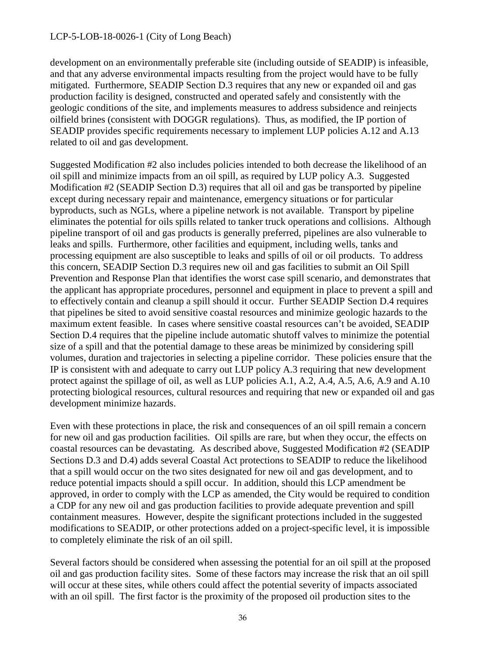development on an environmentally preferable site (including outside of SEADIP) is infeasible, and that any adverse environmental impacts resulting from the project would have to be fully mitigated. Furthermore, SEADIP Section D.3 requires that any new or expanded oil and gas production facility is designed, constructed and operated safely and consistently with the geologic conditions of the site, and implements measures to address subsidence and reinjects oilfield brines (consistent with DOGGR regulations). Thus, as modified, the IP portion of SEADIP provides specific requirements necessary to implement LUP policies A.12 and A.13 related to oil and gas development.

Suggested Modification #2 also includes policies intended to both decrease the likelihood of an oil spill and minimize impacts from an oil spill, as required by LUP policy A.3. Suggested Modification #2 (SEADIP Section D.3) requires that all oil and gas be transported by pipeline except during necessary repair and maintenance, emergency situations or for particular byproducts, such as NGLs, where a pipeline network is not available. Transport by pipeline eliminates the potential for oils spills related to tanker truck operations and collisions. Although pipeline transport of oil and gas products is generally preferred, pipelines are also vulnerable to leaks and spills. Furthermore, other facilities and equipment, including wells, tanks and processing equipment are also susceptible to leaks and spills of oil or oil products. To address this concern, SEADIP Section D.3 requires new oil and gas facilities to submit an Oil Spill Prevention and Response Plan that identifies the worst case spill scenario, and demonstrates that the applicant has appropriate procedures, personnel and equipment in place to prevent a spill and to effectively contain and cleanup a spill should it occur. Further SEADIP Section D.4 requires that pipelines be sited to avoid sensitive coastal resources and minimize geologic hazards to the maximum extent feasible. In cases where sensitive coastal resources can't be avoided, SEADIP Section D.4 requires that the pipeline include automatic shutoff valves to minimize the potential size of a spill and that the potential damage to these areas be minimized by considering spill volumes, duration and trajectories in selecting a pipeline corridor. These policies ensure that the IP is consistent with and adequate to carry out LUP policy A.3 requiring that new development protect against the spillage of oil, as well as LUP policies A.1, A.2, A.4, A.5, A.6, A.9 and A.10 protecting biological resources, cultural resources and requiring that new or expanded oil and gas development minimize hazards.

Even with these protections in place, the risk and consequences of an oil spill remain a concern for new oil and gas production facilities. Oil spills are rare, but when they occur, the effects on coastal resources can be devastating. As described above, Suggested Modification #2 (SEADIP Sections D.3 and D.4) adds several Coastal Act protections to SEADIP to reduce the likelihood that a spill would occur on the two sites designated for new oil and gas development, and to reduce potential impacts should a spill occur. In addition, should this LCP amendment be approved, in order to comply with the LCP as amended, the City would be required to condition a CDP for any new oil and gas production facilities to provide adequate prevention and spill containment measures. However, despite the significant protections included in the suggested modifications to SEADIP, or other protections added on a project-specific level, it is impossible to completely eliminate the risk of an oil spill.

Several factors should be considered when assessing the potential for an oil spill at the proposed oil and gas production facility sites. Some of these factors may increase the risk that an oil spill will occur at these sites, while others could affect the potential severity of impacts associated with an oil spill. The first factor is the proximity of the proposed oil production sites to the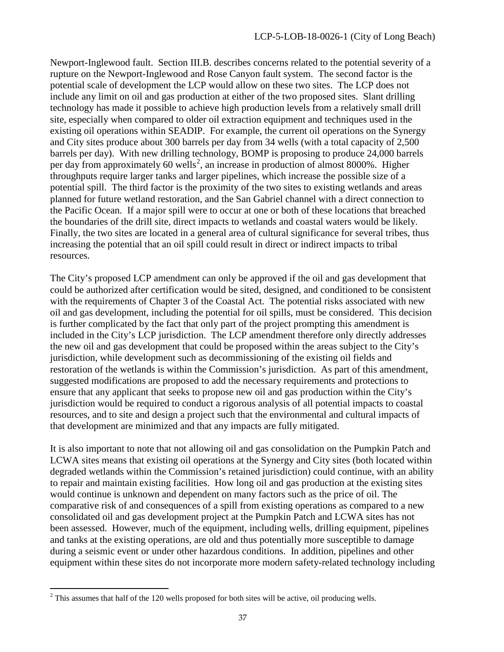Newport-Inglewood fault. Section III.B. describes concerns related to the potential severity of a rupture on the Newport-Inglewood and Rose Canyon fault system. The second factor is the potential scale of development the LCP would allow on these two sites. The LCP does not include any limit on oil and gas production at either of the two proposed sites. Slant drilling technology has made it possible to achieve high production levels from a relatively small drill site, especially when compared to older oil extraction equipment and techniques used in the existing oil operations within SEADIP. For example, the current oil operations on the Synergy and City sites produce about 300 barrels per day from 34 wells (with a total capacity of 2,500 barrels per day). With new drilling technology, BOMP is proposing to produce 24,000 barrels per day from approximately 60 wells<sup>[2](#page-36-0)</sup>, an increase in production of almost 8000%. Higher throughputs require larger tanks and larger pipelines, which increase the possible size of a potential spill. The third factor is the proximity of the two sites to existing wetlands and areas planned for future wetland restoration, and the San Gabriel channel with a direct connection to the Pacific Ocean. If a major spill were to occur at one or both of these locations that breached the boundaries of the drill site, direct impacts to wetlands and coastal waters would be likely. Finally, the two sites are located in a general area of cultural significance for several tribes, thus increasing the potential that an oil spill could result in direct or indirect impacts to tribal resources.

The City's proposed LCP amendment can only be approved if the oil and gas development that could be authorized after certification would be sited, designed, and conditioned to be consistent with the requirements of Chapter 3 of the Coastal Act. The potential risks associated with new oil and gas development, including the potential for oil spills, must be considered. This decision is further complicated by the fact that only part of the project prompting this amendment is included in the City's LCP jurisdiction. The LCP amendment therefore only directly addresses the new oil and gas development that could be proposed within the areas subject to the City's jurisdiction, while development such as decommissioning of the existing oil fields and restoration of the wetlands is within the Commission's jurisdiction. As part of this amendment, suggested modifications are proposed to add the necessary requirements and protections to ensure that any applicant that seeks to propose new oil and gas production within the City's jurisdiction would be required to conduct a rigorous analysis of all potential impacts to coastal resources, and to site and design a project such that the environmental and cultural impacts of that development are minimized and that any impacts are fully mitigated.

It is also important to note that not allowing oil and gas consolidation on the Pumpkin Patch and LCWA sites means that existing oil operations at the Synergy and City sites (both located within degraded wetlands within the Commission's retained jurisdiction) could continue, with an ability to repair and maintain existing facilities. How long oil and gas production at the existing sites would continue is unknown and dependent on many factors such as the price of oil. The comparative risk of and consequences of a spill from existing operations as compared to a new consolidated oil and gas development project at the Pumpkin Patch and LCWA sites has not been assessed. However, much of the equipment, including wells, drilling equipment, pipelines and tanks at the existing operations, are old and thus potentially more susceptible to damage during a seismic event or under other hazardous conditions. In addition, pipelines and other equipment within these sites do not incorporate more modern safety-related technology including

<span id="page-36-0"></span> $\overline{a}$  $2^2$  This assumes that half of the 120 wells proposed for both sites will be active, oil producing wells.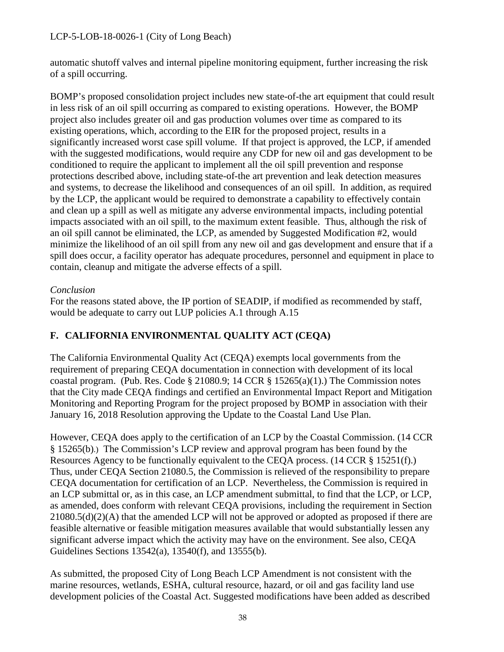automatic shutoff valves and internal pipeline monitoring equipment, further increasing the risk of a spill occurring.

BOMP's proposed consolidation project includes new state-of-the art equipment that could result in less risk of an oil spill occurring as compared to existing operations. However, the BOMP project also includes greater oil and gas production volumes over time as compared to its existing operations, which, according to the EIR for the proposed project, results in a significantly increased worst case spill volume. If that project is approved, the LCP, if amended with the suggested modifications, would require any CDP for new oil and gas development to be conditioned to require the applicant to implement all the oil spill prevention and response protections described above, including state-of-the art prevention and leak detection measures and systems, to decrease the likelihood and consequences of an oil spill. In addition, as required by the LCP, the applicant would be required to demonstrate a capability to effectively contain and clean up a spill as well as mitigate any adverse environmental impacts, including potential impacts associated with an oil spill, to the maximum extent feasible. Thus, although the risk of an oil spill cannot be eliminated, the LCP, as amended by Suggested Modification #2, would minimize the likelihood of an oil spill from any new oil and gas development and ensure that if a spill does occur, a facility operator has adequate procedures, personnel and equipment in place to contain, cleanup and mitigate the adverse effects of a spill.

#### *Conclusion*

For the reasons stated above, the IP portion of SEADIP, if modified as recommended by staff, would be adequate to carry out LUP policies A.1 through A.15

# **F. CALIFORNIA ENVIRONMENTAL QUALITY ACT (CEQA)**

The California Environmental Quality Act (CEQA) exempts local governments from the requirement of preparing CEQA documentation in connection with development of its local coastal program. (Pub. Res. Code  $\S$  21080.9; 14 CCR  $\S$  15265(a)(1).) The Commission notes that the City made CEQA findings and certified an Environmental Impact Report and Mitigation Monitoring and Reporting Program for the project proposed by BOMP in association with their January 16, 2018 Resolution approving the Update to the Coastal Land Use Plan.

However, CEQA does apply to the certification of an LCP by the Coastal Commission. (14 CCR § 15265(b).) The Commission's LCP review and approval program has been found by the Resources Agency to be functionally equivalent to the CEQA process. (14 CCR § 15251(f).) Thus, under CEQA Section 21080.5, the Commission is relieved of the responsibility to prepare CEQA documentation for certification of an LCP. Nevertheless, the Commission is required in an LCP submittal or, as in this case, an LCP amendment submittal, to find that the LCP, or LCP, as amended, does conform with relevant CEQA provisions, including the requirement in Section  $21080.5(d)(2)(A)$  that the amended LCP will not be approved or adopted as proposed if there are feasible alternative or feasible mitigation measures available that would substantially lessen any significant adverse impact which the activity may have on the environment. See also, CEQA Guidelines Sections 13542(a), 13540(f), and 13555(b).

As submitted, the proposed City of Long Beach LCP Amendment is not consistent with the marine resources, wetlands, ESHA, cultural resource, hazard, or oil and gas facility land use development policies of the Coastal Act. Suggested modifications have been added as described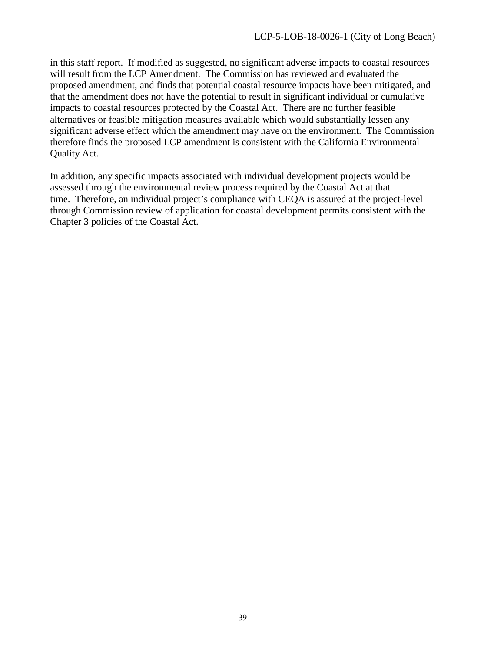in this staff report. If modified as suggested, no significant adverse impacts to coastal resources will result from the LCP Amendment. The Commission has reviewed and evaluated the proposed amendment, and finds that potential coastal resource impacts have been mitigated, and that the amendment does not have the potential to result in significant individual or cumulative impacts to coastal resources protected by the Coastal Act. There are no further feasible alternatives or feasible mitigation measures available which would substantially lessen any significant adverse effect which the amendment may have on the environment. The Commission therefore finds the proposed LCP amendment is consistent with the California Environmental Quality Act.

In addition, any specific impacts associated with individual development projects would be assessed through the environmental review process required by the Coastal Act at that time. Therefore, an individual project's compliance with CEQA is assured at the project-level through Commission review of application for coastal development permits consistent with the Chapter 3 policies of the Coastal Act.